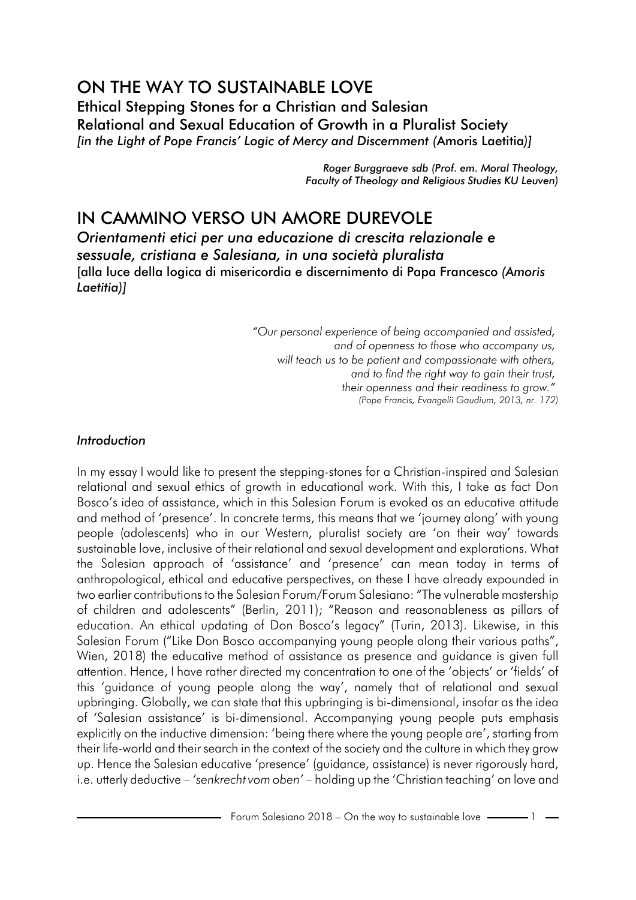# ON THE WAY TO SUSTAINABLE LOVE Ethical Stepping Stones for a Christian and Salesian Relational and Sexual Education of Growth in a Pluralist Society *[in the Light of Pope Francis' Logic of Mercy and Discernment (*Amoris Laetitia*)]*

*Roger Burggraeve sdb (Prof. em. Moral Theology, Faculty of Theology and Religious Studies KU Leuven)*

# IN CAMMINO VERSO UN AMORE DUREVOLE

*Orientamenti etici per una educazione di crescita relazionale e sessuale, cristiana e Salesiana, in una società pluralista* [alla luce della logica di misericordia e discernimento di Papa Francesco *(Amoris Laetitia)]*

> *"Our personal experience of being accompanied and assisted, and of openness to those who accompany us, will teach us to be patient and compassionate with others, and to find the right way to gain their trust, their openness and their readiness to grow." (Pope Francis, Evangelii Gaudium, 2013, nr. 172)*

#### *Introduction*

In my essay I would like to present the stepping-stones for a Christian-inspired and Salesian relational and sexual ethics of growth in educational work. With this, I take as fact Don Bosco's idea of assistance, which in this Salesian Forum is evoked as an educative attitude and method of 'presence'. In concrete terms, this means that we 'journey along' with young people (adolescents) who in our Western, pluralist society are 'on their way' towards sustainable love, inclusive of their relational and sexual development and explorations. What the Salesian approach of 'assistance' and 'presence' can mean today in terms of anthropological, ethical and educative perspectives, on these I have already expounded in two earlier contributions to the Salesian Forum/Forum Salesiano: "The vulnerable mastership of children and adolescents" (Berlin, 2011); "Reason and reasonableness as pillars of education. An ethical updating of Don Bosco's legacy" (Turin, 2013). Likewise, in this Salesian Forum ("Like Don Bosco accompanying young people along their various paths", Wien, 2018) the educative method of assistance as presence and guidance is given full attention. Hence, I have rather directed my concentration to one of the 'objects' or 'fields' of this 'guidance of young people along the way', namely that of relational and sexual upbringing. Globally, we can state that this upbringing is bi-dimensional, insofar as the idea of 'Salesian assistance' is bi-dimensional. Accompanying young people puts emphasis explicitly on the inductive dimension: 'being there where the young people are', starting from their life-world and their search in the context of the society and the culture in which they grow up. Hence the Salesian educative 'presence' (guidance, assistance) is never rigorously hard, i.e. utterly deductive – *'senkrecht vom oben'* – holding up the 'Christian teaching' on love and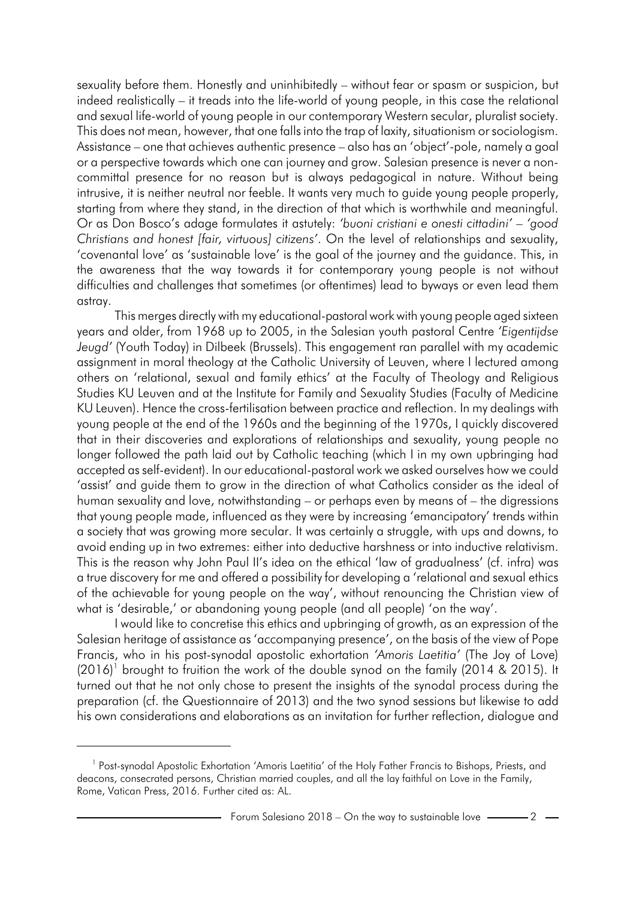sexuality before them. Honestly and uninhibitedly – without fear or spasm or suspicion, but indeed realistically – it treads into the life-world of young people, in this case the relational and sexual life-world of young people in our contemporary Western secular, pluralist society. This does not mean, however, that one falls into the trap of laxity, situationism orsociologism. Assistance – one that achieves authentic presence – also has an 'object'-pole, namely a goal or a perspective towards which one can journey and grow. Salesian presence is never a noncommittal presence for no reason but is always pedagogical in nature. Without being intrusive, it is neither neutral nor feeble. It wants very much to guide young people properly, starting from where they stand, in the direction of that which is worthwhile and meaningful. Or as Don Bosco's adage formulates it astutely: *'buoni cristiani e onesti cittadini' – 'good Christians and honest [fair, virtuous] citizens'*. On the level of relationships and sexuality, 'covenantal love' as 'sustainable love' is the goal of the journey and the guidance. This, in the awareness that the way towards it for contemporary young people is not without difficulties and challenges that sometimes (or oftentimes) lead to byways or even lead them astray.

This merges directly with my educational-pastoral work with young people aged sixteen years and older, from 1968 up to 2005, in the Salesian youth pastoral Centre *'Eigentijdse Jeugd'* (Youth Today) in Dilbeek (Brussels). This engagement ran parallel with my academic assignment in moral theology at the Catholic University of Leuven, where I lectured among others on 'relational, sexual and family ethics' at the Faculty of Theology and Religious Studies KU Leuven and at the Institute for Family and Sexuality Studies (Faculty of Medicine KU Leuven). Hence the cross-fertilisation between practice and reflection. In my dealings with young people at the end of the 1960s and the beginning of the 1970s, I quickly discovered that in their discoveries and explorations of relationships and sexuality, young people no longer followed the path laid out by Catholic teaching (which I in my own upbringing had accepted as self-evident). In our educational-pastoral work we asked ourselves how we could 'assist' and guide them to grow in the direction of what Catholics consider as the ideal of human sexuality and love, notwithstanding – or perhaps even by means of – the digressions that young people made, influenced as they were by increasing 'emancipatory' trends within a society that was growing more secular. It was certainly a struggle, with ups and downs, to avoid ending up in two extremes: either into deductive harshness or into inductive relativism. This is the reason why John Paul II's idea on the ethical 'law of gradualness' (cf. infra) was a true discovery for me and offered a possibility for developing a 'relational and sexual ethics of the achievable for young people on the way', without renouncing the Christian view of what is 'desirable,' or abandoning young people (and all people) 'on the way'.

I would like to concretise this ethics and upbringing of growth, as an expression of the Salesian heritage of assistance as 'accompanying presence', on the basis of the view of Pope Francis, who in his post-synodal apostolic exhortation *'Amoris Laetitia'* (The Joy of Love)  $(2016)^1$  brought to fruition the work of the double synod on the family  $(2014 \& 2015)$ . It turned out that he not only chose to present the insights of the synodal process during the preparation (cf. the Questionnaire of 2013) and the two synod sessions but likewise to add his own considerations and elaborations as an invitation for further reflection, dialogue and

<sup>&</sup>lt;sup>1</sup> Post-synodal Apostolic Exhortation 'Amoris Laetitia' of the Holy Father Francis to Bishops, Priests, and deacons, consecrated persons, Christian married couples, and all the lay faithful on Love in the Family, Rome, Vatican Press, 2016. Further cited as: AL.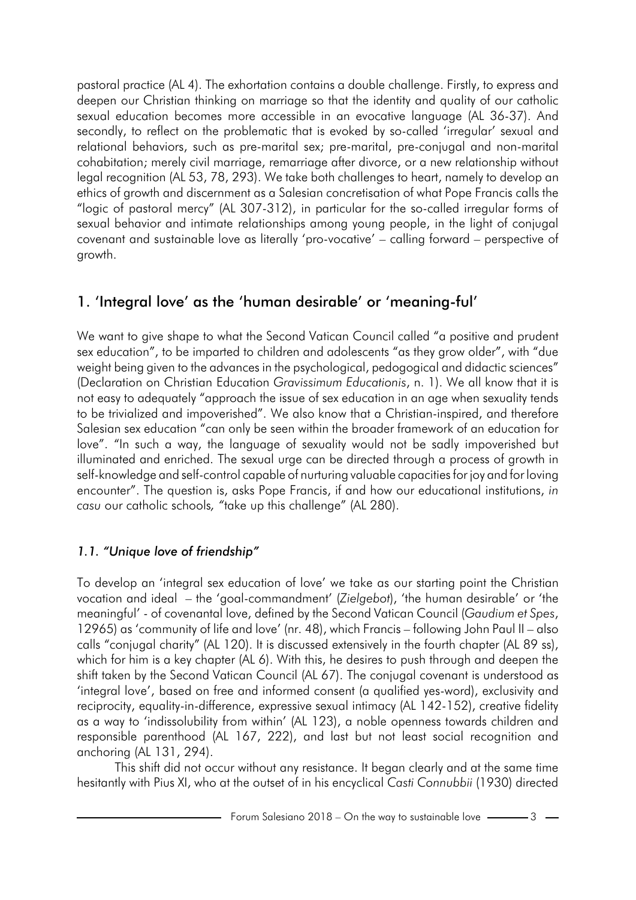pastoral practice (AL 4). The exhortation contains a double challenge. Firstly, to express and deepen our Christian thinking on marriage so that the identity and quality of our catholic sexual education becomes more accessible in an evocative language (AL 36-37). And secondly, to reflect on the problematic that is evoked by so-called 'irregular' sexual and relational behaviors, such as pre-marital sex; pre-marital, pre-conjugal and non-marital cohabitation; merely civil marriage, remarriage after divorce, or a new relationship without legal recognition (AL 53, 78, 293). We take both challenges to heart, namely to develop an ethics of growth and discernment as a Salesian concretisation of what Pope Francis calls the "logic of pastoral mercy" (AL 307-312), in particular for the so-called irregular forms of sexual behavior and intimate relationships among young people, in the light of conjugal covenant and sustainable love as literally 'pro-vocative' – calling forward – perspective of growth.

# 1. 'Integral love' as the 'human desirable' or 'meaning-ful'

We want to give shape to what the Second Vatican Council called "a positive and prudent sex education", to be imparted to children and adolescents "as they grow older", with "due weight being given to the advances in the psychological, pedogogical and didactic sciences" (Declaration on Christian Education *Gravissimum Educationis*, n. 1). We all know that it is not easy to adequately "approach the issue of sex education in an age when sexuality tends to be trivialized and impoverished". We also know that a Christian-inspired, and therefore Salesian sex education "can only be seen within the broader framework of an education for love". "In such a way, the language of sexuality would not be sadly impoverished but illuminated and enriched. The sexual urge can be directed through a process of growth in self-knowledge and self-control capable of nurturing valuable capacities for joy and for loving encounter". The question is, asks Pope Francis, if and how our educational institutions, *in casu* our catholic schools*, "*take up this challenge" (AL 280).

# *1.1. "Unique love of friendship"*

To develop an 'integral sex education of love' we take as our starting point the Christian vocation and ideal – the 'goal-commandment' (*Zielgebot*), 'the human desirable' or 'the meaningful' - of covenantal love, defined by the Second Vatican Council (*Gaudium et Spes*, 12965) as 'community of life and love' (nr. 48), which Francis – following John Paul II – also calls "conjugal charity" (AL 120). It is discussed extensively in the fourth chapter (AL 89 ss), which for him is a key chapter (AL 6). With this, he desires to push through and deepen the shift taken by the Second Vatican Council (AL 67). The conjugal covenant is understood as 'integral love', based on free and informed consent (a qualified yes-word), exclusivity and reciprocity, equality-in-difference, expressive sexual intimacy (AL 142-152), creative fidelity as a way to 'indissolubility from within' (AL 123), a noble openness towards children and responsible parenthood (AL 167, 222), and last but not least social recognition and anchoring (AL 131, 294).

This shift did not occur without any resistance. It began clearly and at the same time hesitantly with Pius XI, who at the outset of in his encyclical *Casti Connubbii* (1930) directed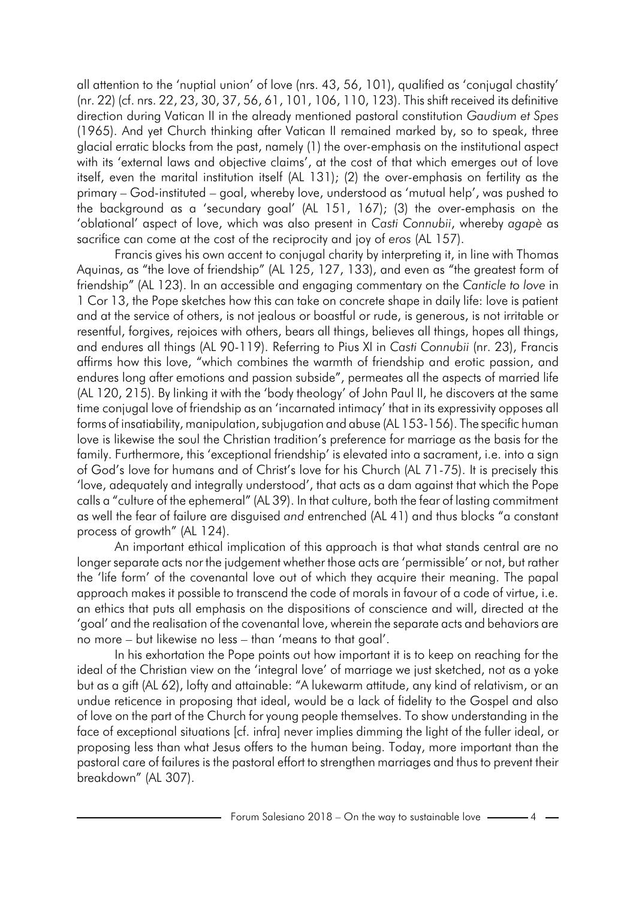all attention to the 'nuptial union' of love (nrs. 43, 56, 101), qualified as 'conjugal chastity' (nr. 22) (cf. nrs. 22, 23, 30, 37, 56, 61, 101, 106, 110, 123). This shift received its definitive direction during Vatican II in the already mentioned pastoral constitution *Gaudium et Spes* (1965). And yet Church thinking after Vatican II remained marked by, so to speak, three glacial erratic blocks from the past, namely (1) the over-emphasis on the institutional aspect with its 'external laws and objective claims', at the cost of that which emerges out of love itself, even the marital institution itself (AL 131); (2) the over-emphasis on fertility as the primary – God-instituted – goal, whereby love, understood as 'mutual help', was pushed to the background as a 'secundary goal' (AL 151, 167); (3) the over-emphasis on the 'oblational' aspect of love, which was also present in *Casti Connubii*, whereby *agapè* as sacrifice can come at the cost of the reciprocity and joy of *eros* (AL 157).

Francis gives his own accent to conjugal charity by interpreting it, in line with Thomas Aquinas, as "the love of friendship" (AL 125, 127, 133), and even as "the greatest form of friendship" (AL 123). In an accessible and engaging commentary on the *Canticle to love* in 1 Cor 13, the Pope sketches how this can take on concrete shape in daily life: love is patient and at the service of others, is not jealous or boastful or rude, is generous, is not irritable or resentful, forgives, rejoices with others, bears all things, believes all things, hopes all things, and endures all things (AL 90-119). Referring to Pius XI in *Casti Connubii* (nr. 23), Francis affirms how this love, "which combines the warmth of friendship and erotic passion, and endures long after emotions and passion subside", permeates all the aspects of married life (AL 120, 215). By linking it with the 'body theology' of John Paul II, he discovers at the same time conjugal love of friendship as an 'incarnated intimacy' that in its expressivity opposes all forms of insatiability, manipulation, subjugation and abuse (AL 153-156). The specific human love is likewise the soul the Christian tradition's preference for marriage as the basis for the family. Furthermore, this 'exceptional friendship' is elevated into a sacrament, i.e. into a sign of God's love for humans and of Christ's love for his Church (AL 71-75). It is precisely this 'love, adequately and integrally understood', that acts as a dam against that which the Pope calls a "culture of the ephemeral" (AL 39). In that culture, both the fear of lasting commitment as well the fear of failure are disguised *and* entrenched (AL 41) and thus blocks "a constant process of growth" (AL 124).

An important ethical implication of this approach is that what stands central are no longer separate acts nor the judgement whether those acts are 'permissible' or not, but rather the 'life form' of the covenantal love out of which they acquire their meaning. The papal approach makes it possible to transcend the code of morals in favour of a code of virtue, i.e. an ethics that puts all emphasis on the dispositions of conscience and will, directed at the 'goal' and the realisation of the covenantal love, wherein the separate acts and behaviors are no more – but likewise no less – than 'means to that goal'.

In his exhortation the Pope points out how important it is to keep on reaching for the ideal of the Christian view on the 'integral love' of marriage we just sketched, not as a yoke but as a gift (AL 62), lofty and attainable: "A lukewarm attitude, any kind of relativism, or an undue reticence in proposing that ideal, would be a lack of fidelity to the Gospel and also of love on the part of the Church for young people themselves. To show understanding in the face of exceptional situations [cf. infra] never implies dimming the light of the fuller ideal, or proposing less than what Jesus offers to the human being. Today, more important than the pastoral care of failures is the pastoral effort to strengthen marriages and thus to prevent their breakdown" (AL 307).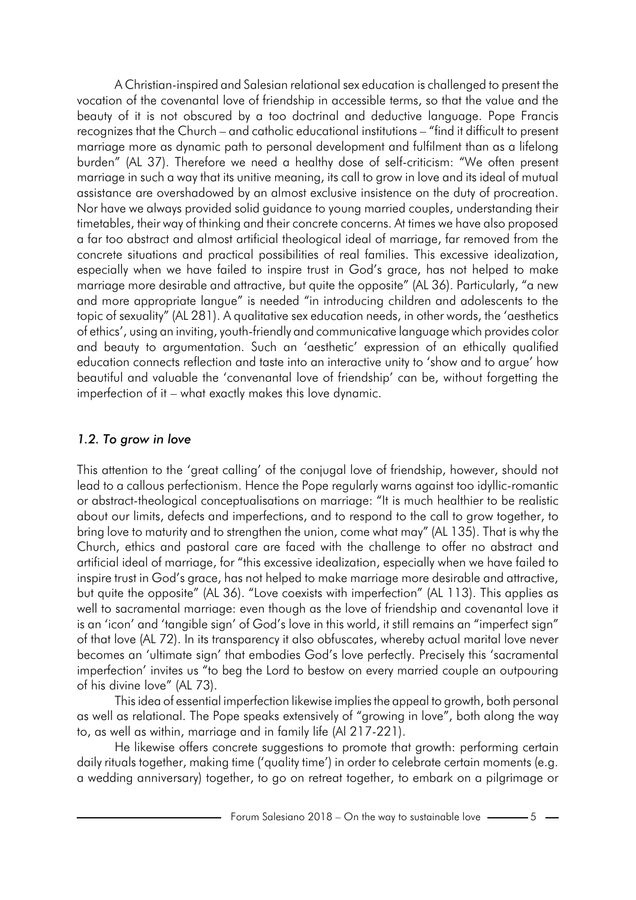A Christian-inspired and Salesian relational sex education is challenged to present the vocation of the covenantal love of friendship in accessible terms, so that the value and the beauty of it is not obscured by a too doctrinal and deductive language. Pope Francis recognizes that the Church – and catholic educational institutions – "find it difficult to present marriage more as dynamic path to personal development and fulfilment than as a lifelong burden" (AL 37). Therefore we need a healthy dose of self-criticism: "We often present marriage in such a way that its unitive meaning, its call to grow in love and its ideal of mutual assistance are overshadowed by an almost exclusive insistence on the duty of procreation. Nor have we always provided solid guidance to young married couples, understanding their timetables, their way of thinking and their concrete concerns. At times we have also proposed a far too abstract and almost artificial theological ideal of marriage, far removed from the concrete situations and practical possibilities of real families. This excessive idealization, especially when we have failed to inspire trust in God's grace, has not helped to make marriage more desirable and attractive, but quite the opposite" (AL 36). Particularly, "a new and more appropriate langue" is needed "in introducing children and adolescents to the topic of sexuality" (AL 281). A qualitative sex education needs, in other words, the 'aesthetics of ethics', using an inviting, youth-friendly and communicative language which provides color and beauty to argumentation. Such an 'aesthetic' expression of an ethically qualified education connects reflection and taste into an interactive unity to 'show and to argue' how beautiful and valuable the 'convenantal love of friendship' can be, without forgetting the imperfection of it – what exactly makes this love dynamic.

## *1.2. To grow in love*

This attention to the 'great calling' of the conjugal love of friendship, however, should not lead to a callous perfectionism. Hence the Pope regularly warns against too idyllic-romantic or abstract-theological conceptualisations on marriage: "It is much healthier to be realistic about our limits, defects and imperfections, and to respond to the call to grow together, to bring love to maturity and to strengthen the union, come what may" (AL 135). That is why the Church, ethics and pastoral care are faced with the challenge to offer no abstract and artificial ideal of marriage, for "this excessive idealization, especially when we have failed to inspire trust in God's grace, has not helped to make marriage more desirable and attractive, but quite the opposite" (AL 36). "Love coexists with imperfection" (AL 113). This applies as well to sacramental marriage: even though as the love of friendship and covenantal love it is an 'icon' and 'tangible sign' of God's love in this world, it still remains an "imperfect sign" of that love (AL 72). In its transparency it also obfuscates, whereby actual marital love never becomes an 'ultimate sign' that embodies God's love perfectly. Precisely this 'sacramental imperfection' invites us "to beg the Lord to bestow on every married couple an outpouring of his divine love" (AL 73).

This idea of essential imperfection likewise implies the appeal to growth, both personal as well as relational. The Pope speaks extensively of "growing in love", both along the way to, as well as within, marriage and in family life (Al 217-221).

He likewise offers concrete suggestions to promote that growth: performing certain daily rituals together, making time ('quality time') in order to celebrate certain moments (e.g. a wedding anniversary) together, to go on retreat together, to embark on a pilgrimage or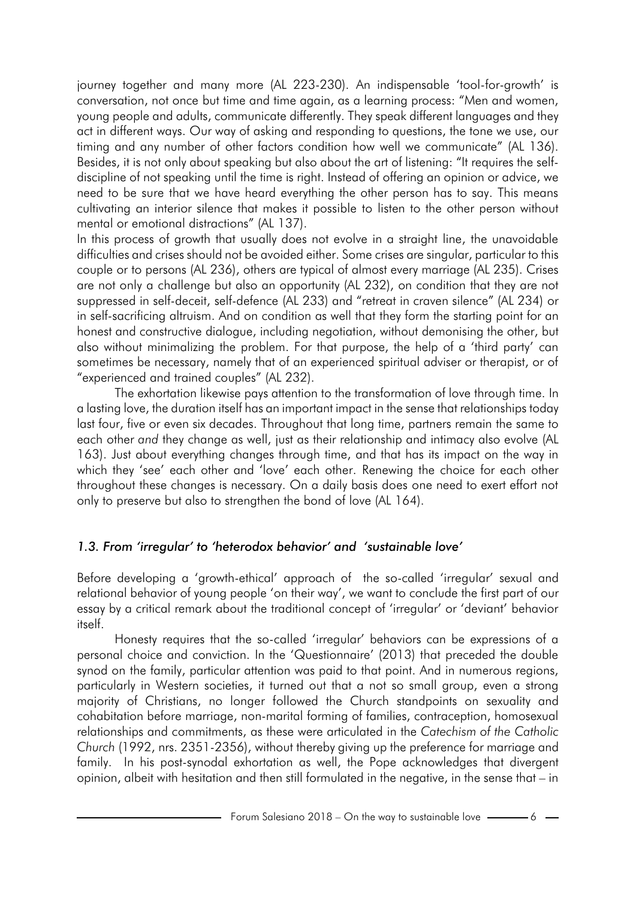journey together and many more (AL 223-230). An indispensable 'tool-for-growth' is conversation, not once but time and time again, as a learning process: "Men and women, young people and adults, communicate differently. They speak different languages and they act in different ways. Our way of asking and responding to questions, the tone we use, our timing and any number of other factors condition how well we communicate" (AL 136). Besides, it is not only about speaking but also about the art of listening: "It requires the selfdiscipline of not speaking until the time is right. Instead of offering an opinion or advice, we need to be sure that we have heard everything the other person has to say. This means cultivating an interior silence that makes it possible to listen to the other person without mental or emotional distractions" (AL 137).

In this process of growth that usually does not evolve in a straight line, the unavoidable difficulties and crises should not be avoided either. Some crises are singular, particular to this couple or to persons (AL 236), others are typical of almost every marriage (AL 235). Crises are not only a challenge but also an opportunity (AL 232), on condition that they are not suppressed in self-deceit, self-defence (AL 233) and "retreat in craven silence" (AL 234) or in self-sacrificing altruism. And on condition as well that they form the starting point for an honest and constructive dialogue, including negotiation, without demonising the other, but also without minimalizing the problem. For that purpose, the help of a 'third party' can sometimes be necessary, namely that of an experienced spiritual adviser or therapist, or of "experienced and trained couples" (AL 232).

The exhortation likewise pays attention to the transformation of love through time. In a lasting love, the duration itself has an important impact in the sense that relationships today last four, five or even six decades. Throughout that long time, partners remain the same to each other *and* they change as well, just as their relationship and intimacy also evolve (AL 163). Just about everything changes through time, and that has its impact on the way in which they 'see' each other and 'love' each other. Renewing the choice for each other throughout these changes is necessary. On a daily basis does one need to exert effort not only to preserve but also to strengthen the bond of love (AL 164).

### *1.3. From 'irregular' to 'heterodox behavior' and 'sustainable love'*

Before developing a 'growth-ethical' approach of the so-called 'irregular' sexual and relational behavior of young people 'on their way', we want to conclude the first part of our essay by a critical remark about the traditional concept of 'irregular' or 'deviant' behavior itself.

Honesty requires that the so-called 'irregular' behaviors can be expressions of a personal choice and conviction. In the 'Questionnaire' (2013) that preceded the double synod on the family, particular attention was paid to that point. And in numerous regions, particularly in Western societies, it turned out that a not so small group, even a strong majority of Christians, no longer followed the Church standpoints on sexuality and cohabitation before marriage, non-marital forming of families, contraception, homosexual relationships and commitments, as these were articulated in the *Catechism of the Catholic Church* (1992, nrs. 2351-2356), without thereby giving up the preference for marriage and family. In his post-synodal exhortation as well, the Pope acknowledges that divergent opinion, albeit with hesitation and then still formulated in the negative, in the sense that – in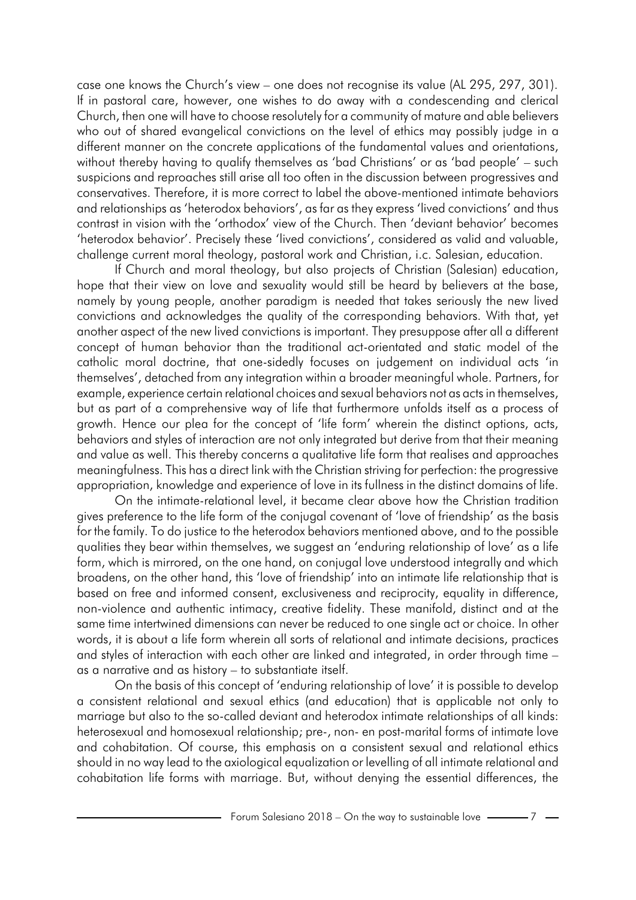case one knows the Church's view – one does not recognise its value (AL 295, 297, 301). If in pastoral care, however, one wishes to do away with a condescending and clerical Church, then one will have to choose resolutely for a community of mature and able believers who out of shared evangelical convictions on the level of ethics may possibly judge in a different manner on the concrete applications of the fundamental values and orientations, without thereby having to qualify themselves as 'bad Christians' or as 'bad people' – such suspicions and reproaches still arise all too often in the discussion between progressives and conservatives. Therefore, it is more correct to label the above-mentioned intimate behaviors and relationships as 'heterodox behaviors', as far as they express 'lived convictions' and thus contrast in vision with the 'orthodox' view of the Church. Then 'deviant behavior' becomes 'heterodox behavior'. Precisely these 'lived convictions', considered as valid and valuable, challenge current moral theology, pastoral work and Christian, i.c. Salesian, education.

If Church and moral theology, but also projects of Christian (Salesian) education, hope that their view on love and sexuality would still be heard by believers at the base, namely by young people, another paradigm is needed that takes seriously the new lived convictions and acknowledges the quality of the corresponding behaviors. With that, yet another aspect of the new lived convictions is important. They presuppose after all a different concept of human behavior than the traditional act-orientated and static model of the catholic moral doctrine, that one-sidedly focuses on judgement on individual acts 'in themselves', detached from any integration within a broader meaningful whole. Partners, for example, experience certain relational choices and sexual behaviors not as acts in themselves, but as part of a comprehensive way of life that furthermore unfolds itself as a process of growth. Hence our plea for the concept of 'life form' wherein the distinct options, acts, behaviors and styles of interaction are not only integrated but derive from that their meaning and value as well. This thereby concerns a qualitative life form that realises and approaches meaningfulness. This has a direct link with the Christian striving for perfection: the progressive appropriation, knowledge and experience of love in its fullness in the distinct domains of life.

On the intimate-relational level, it became clear above how the Christian tradition gives preference to the life form of the conjugal covenant of 'love of friendship' as the basis for the family. To do justice to the heterodox behaviors mentioned above, and to the possible qualities they bear within themselves, we suggest an 'enduring relationship of love' as a life form, which is mirrored, on the one hand, on conjugal love understood integrally and which broadens, on the other hand, this 'love of friendship' into an intimate life relationship that is based on free and informed consent, exclusiveness and reciprocity, equality in difference, non-violence and authentic intimacy, creative fidelity. These manifold, distinct and at the same time intertwined dimensions can never be reduced to one single act or choice. In other words, it is about a life form wherein all sorts of relational and intimate decisions, practices and styles of interaction with each other are linked and integrated, in order through time – as a narrative and as history – to substantiate itself.

On the basis of this concept of 'enduring relationship of love' it is possible to develop a consistent relational and sexual ethics (and education) that is applicable not only to marriage but also to the so-called deviant and heterodox intimate relationships of all kinds: heterosexual and homosexual relationship; pre-, non- en post-marital forms of intimate love and cohabitation. Of course, this emphasis on a consistent sexual and relational ethics should in no way lead to the axiological equalization or levelling of all intimate relational and cohabitation life forms with marriage. But, without denying the essential differences, the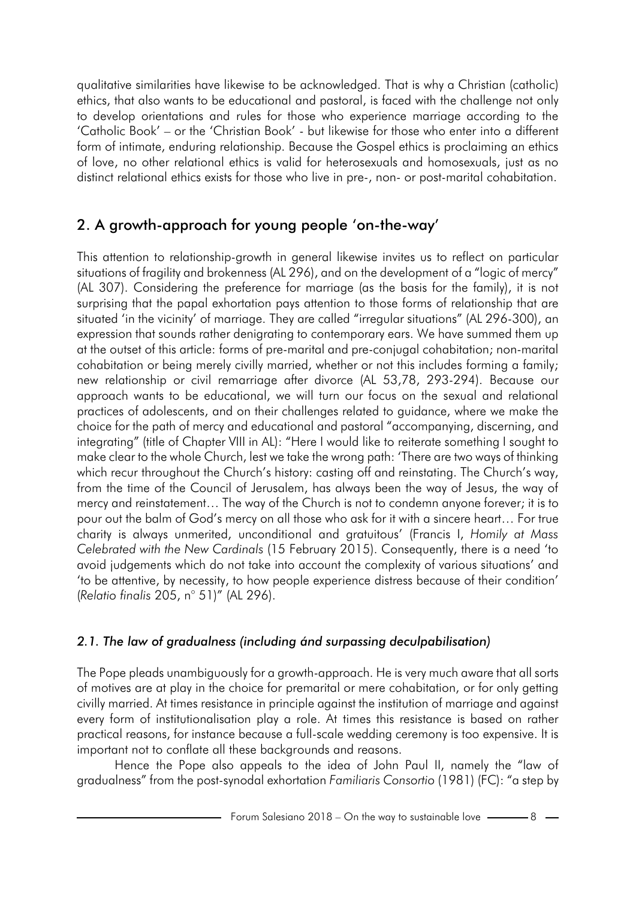qualitative similarities have likewise to be acknowledged. That is why a Christian (catholic) ethics, that also wants to be educational and pastoral, is faced with the challenge not only to develop orientations and rules for those who experience marriage according to the 'Catholic Book' – or the 'Christian Book' - but likewise for those who enter into a different form of intimate, enduring relationship. Because the Gospel ethics is proclaiming an ethics of love, no other relational ethics is valid for heterosexuals and homosexuals, just as no distinct relational ethics exists for those who live in pre-, non- or post-marital cohabitation.

# 2. A growth-approach for young people 'on-the-way'

This attention to relationship-growth in general likewise invites us to reflect on particular situations of fragility and brokenness (AL 296), and on the development of a "logic of mercy" (AL 307). Considering the preference for marriage (as the basis for the family), it is not surprising that the papal exhortation pays attention to those forms of relationship that are situated 'in the vicinity' of marriage. They are called "irregular situations" (AL 296-300), an expression that sounds rather denigrating to contemporary ears. We have summed them up at the outset of this article: forms of pre-marital and pre-conjugal cohabitation; non-marital cohabitation or being merely civilly married, whether or not this includes forming a family; new relationship or civil remarriage after divorce (AL 53,78, 293-294). Because our approach wants to be educational, we will turn our focus on the sexual and relational practices of adolescents, and on their challenges related to guidance, where we make the choice for the path of mercy and educational and pastoral "accompanying, discerning, and integrating" (title of Chapter VIII in AL): "Here I would like to reiterate something I sought to make clear to the whole Church, lest we take the wrong path: 'There are two ways of thinking which recur throughout the Church's history: casting off and reinstating. The Church's way, from the time of the Council of Jerusalem, has always been the way of Jesus, the way of mercy and reinstatement… The way of the Church is not to condemn anyone forever; it is to pour out the balm of God's mercy on all those who ask for it with a sincere heart… For true charity is always unmerited, unconditional and gratuitous' (Francis I, *Homily at Mass Celebrated with the New Cardinals* (15 February 2015). Consequently, there is a need 'to avoid judgements which do not take into account the complexity of various situations' and 'to be attentive, by necessity, to how people experience distress because of their condition' (*Relatio finalis* 205, n° 51)" (AL 296).

# *2.1. The law of gradualness (including ánd surpassing deculpabilisation)*

The Pope pleads unambiguously for a growth-approach. He is very much aware that all sorts of motives are at play in the choice for premarital or mere cohabitation, or for only getting civilly married. At times resistance in principle against the institution of marriage and against every form of institutionalisation play a role. At times this resistance is based on rather practical reasons, for instance because a full-scale wedding ceremony is too expensive. It is important not to conflate all these backgrounds and reasons.

Hence the Pope also appeals to the idea of John Paul II, namely the "law of gradualness" from the post-synodal exhortation *Familiaris Consortio* (1981) (FC): "a step by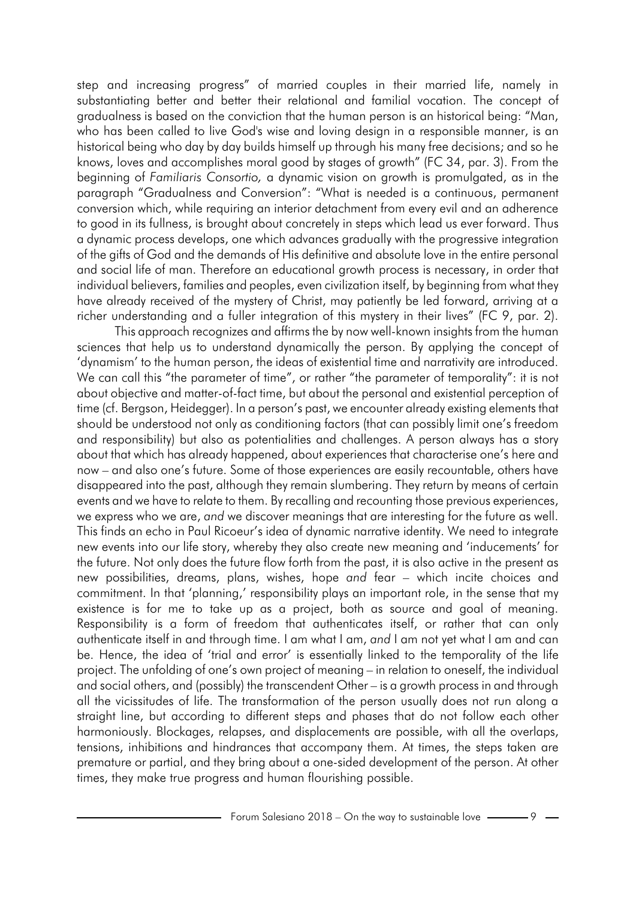step and increasing progress" of married couples in their married life, namely in substantiating better and better their relational and familial vocation. The concept of gradualness is based on the conviction that the human person is an historical being: "Man, who has been called to live God's wise and loving design in a responsible manner, is an historical being who day by day builds himself up through his many free decisions; and so he knows, loves and accomplishes moral good by stages of growth" (FC 34, par. 3). From the beginning of *Familiaris Consortio,* a dynamic vision on growth is promulgated, as in the paragraph "Gradualness and Conversion": "What is needed is a continuous, permanent conversion which, while requiring an interior detachment from every evil and an adherence to good in its fullness, is brought about concretely in steps which lead us ever forward. Thus a dynamic process develops, one which advances gradually with the progressive integration of the gifts of God and the demands of His definitive and absolute love in the entire personal and social life of man. Therefore an educational growth process is necessary, in order that individual believers, families and peoples, even civilization itself, by beginning from what they have already received of the mystery of Christ, may patiently be led forward, arriving at a richer understanding and a fuller integration of this mystery in their lives" (FC 9, par. 2).

This approach recognizes and affirms the by now well-known insights from the human sciences that help us to understand dynamically the person. By applying the concept of 'dynamism' to the human person, the ideas of existential time and narrativity are introduced. We can call this "the parameter of time", or rather "the parameter of temporality": it is not about objective and matter-of-fact time, but about the personal and existential perception of time (cf. Bergson, Heidegger). In a person's past, we encounter already existing elements that should be understood not only as conditioning factors (that can possibly limit one's freedom and responsibility) but also as potentialities and challenges. A person always has a story about that which has already happened, about experiences that characterise one's here and now – and also one's future. Some of those experiences are easily recountable, others have disappeared into the past, although they remain slumbering. They return by means of certain events and we have to relate to them. By recalling and recounting those previous experiences, we express who we are, *and* we discover meanings that are interesting for the future as well. This finds an echo in Paul Ricoeur's idea of dynamic narrative identity. We need to integrate new events into our life story, whereby they also create new meaning and 'inducements' for the future. Not only does the future flow forth from the past, it is also active in the present as new possibilities, dreams, plans, wishes, hope *and* fear – which incite choices and commitment. In that 'planning,' responsibility plays an important role, in the sense that my existence is for me to take up as a project, both as source and goal of meaning. Responsibility is a form of freedom that authenticates itself, or rather that can only authenticate itself in and through time. I am what I am, *and* I am not yet what I am and can be. Hence, the idea of 'trial and error' is essentially linked to the temporality of the life project. The unfolding of one's own project of meaning – in relation to oneself, the individual and social others, and (possibly) the transcendent Other – is a growth process in and through all the vicissitudes of life. The transformation of the person usually does not run along a straight line, but according to different steps and phases that do not follow each other harmoniously. Blockages, relapses, and displacements are possible, with all the overlaps, tensions, inhibitions and hindrances that accompany them. At times, the steps taken are premature or partial, and they bring about a one-sided development of the person. At other times, they make true progress and human flourishing possible.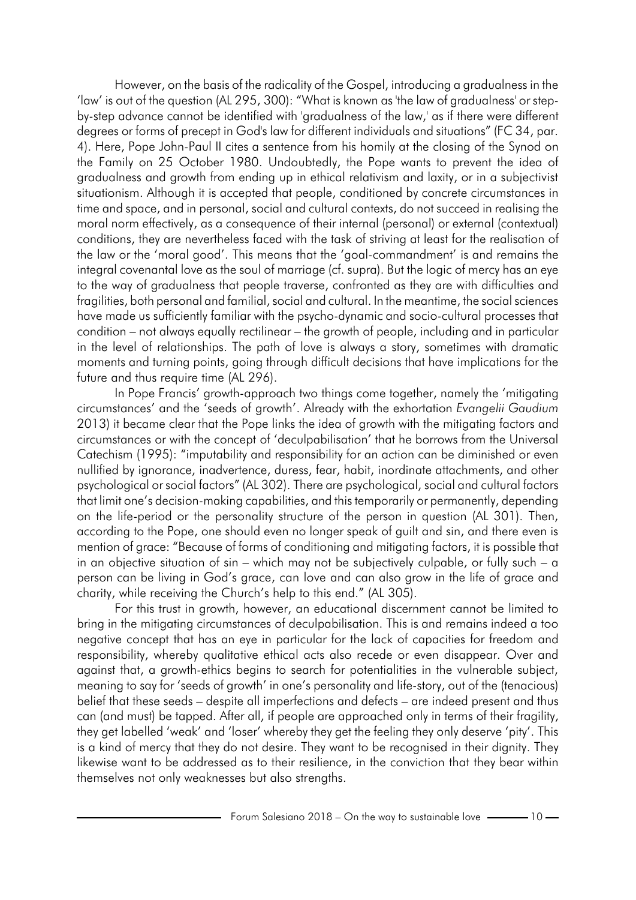However, on the basis of the radicality of the Gospel, introducing a gradualness in the 'law' is out of the question (AL 295, 300): "What is known as 'the law of gradualness' or stepby-step advance cannot be identified with 'gradualness of the law,' as if there were different degrees or forms of precept in God's law for different individuals and situations" (FC 34, par. 4). Here, Pope John-Paul II cites a sentence from his homily at the closing of the Synod on the Family on 25 October 1980. Undoubtedly, the Pope wants to prevent the idea of gradualness and growth from ending up in ethical relativism and laxity, or in a subjectivist situationism. Although it is accepted that people, conditioned by concrete circumstances in time and space, and in personal, social and cultural contexts, do not succeed in realising the moral norm effectively, as a consequence of their internal (personal) or external (contextual) conditions, they are nevertheless faced with the task of striving at least for the realisation of the law or the 'moral good'. This means that the 'goal-commandment' is and remains the integral covenantal love as the soul of marriage (cf. supra). But the logic of mercy has an eye to the way of gradualness that people traverse, confronted as they are with difficulties and fragilities, both personal and familial, social and cultural. In the meantime, the social sciences have made us sufficiently familiar with the psycho-dynamic and socio-cultural processes that condition – not always equally rectilinear – the growth of people, including and in particular in the level of relationships. The path of love is always a story, sometimes with dramatic moments and turning points, going through difficult decisions that have implications for the future and thus require time (AL 296).

In Pope Francis' growth-approach two things come together, namely the 'mitigating circumstances' and the 'seeds of growth'. Already with the exhortation *Evangelii Gaudium* 2013) it became clear that the Pope links the idea of growth with the mitigating factors and circumstances or with the concept of 'deculpabilisation' that he borrows from the Universal Catechism (1995): "imputability and responsibility for an action can be diminished or even nullified by ignorance, inadvertence, duress, fear, habit, inordinate attachments, and other psychological or social factors" (AL 302). There are psychological, social and cultural factors that limit one's decision-making capabilities, and this temporarily or permanently, depending on the life-period or the personality structure of the person in question (AL 301). Then, according to the Pope, one should even no longer speak of guilt and sin, and there even is mention of grace: "Because of forms of conditioning and mitigating factors, it is possible that in an objective situation of sin – which may not be subjectively culpable, or fully such –  $a$ person can be living in God's grace, can love and can also grow in the life of grace and charity, while receiving the Church's help to this end." (AL 305).

For this trust in growth, however, an educational discernment cannot be limited to bring in the mitigating circumstances of deculpabilisation. This is and remains indeed a too negative concept that has an eye in particular for the lack of capacities for freedom and responsibility, whereby qualitative ethical acts also recede or even disappear. Over and against that, a growth-ethics begins to search for potentialities in the vulnerable subject, meaning to say for 'seeds of growth' in one's personality and life-story, out of the (tenacious) belief that these seeds – despite all imperfections and defects – are indeed present and thus can (and must) be tapped. After all, if people are approached only in terms of their fragility, they get labelled 'weak' and 'loser' whereby they get the feeling they only deserve 'pity'. This is a kind of mercy that they do not desire. They want to be recognised in their dignity. They likewise want to be addressed as to their resilience, in the conviction that they bear within themselves not only weaknesses but also strengths.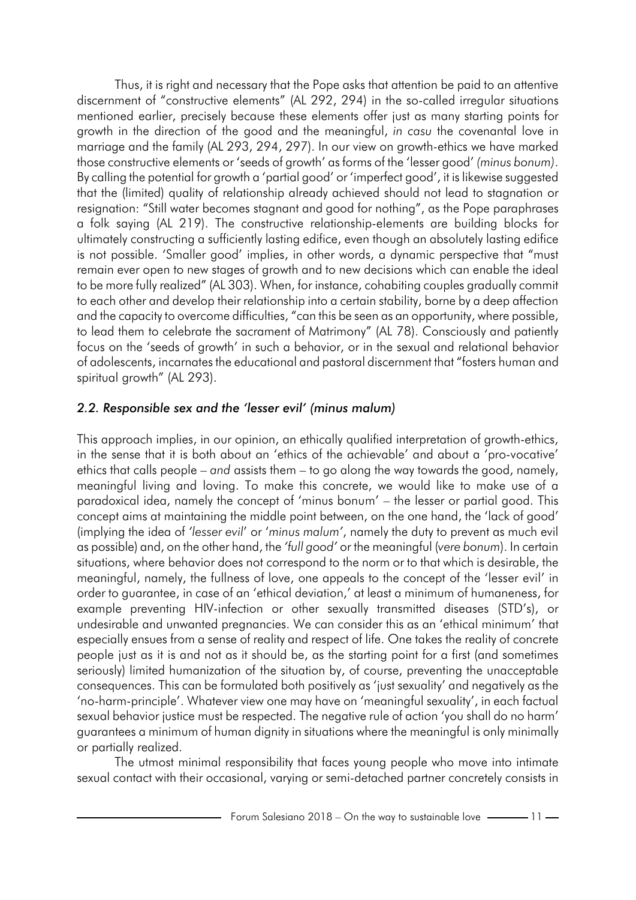Thus, it is right and necessary that the Pope asks that attention be paid to an attentive discernment of "constructive elements" (AL 292, 294) in the so-called irregular situations mentioned earlier, precisely because these elements offer just as many starting points for growth in the direction of the good and the meaningful, *in casu* the covenantal love in marriage and the family (AL 293, 294, 297). In our view on growth-ethics we have marked those constructive elements or 'seeds of growth' as forms of the 'lesser good' *(minus bonum)*. By calling the potential for growth a 'partial good' or 'imperfect good', it is likewise suggested that the (limited) quality of relationship already achieved should not lead to stagnation or resignation: "Still water becomes stagnant and good for nothing", as the Pope paraphrases a folk saying (AL 219). The constructive relationship-elements are building blocks for ultimately constructing a sufficiently lasting edifice, even though an absolutely lasting edifice is not possible. 'Smaller good' implies, in other words, a dynamic perspective that "must remain ever open to new stages of growth and to new decisions which can enable the ideal to be more fully realized" (AL 303). When, for instance, cohabiting couples gradually commit to each other and develop their relationship into a certain stability, borne by a deep affection and the capacity to overcome difficulties, "can this be seen as an opportunity, where possible, to lead them to celebrate the sacrament of Matrimony" (AL 78). Consciously and patiently focus on the 'seeds of growth' in such a behavior, or in the sexual and relational behavior of adolescents, incarnates the educational and pastoral discernment that "fosters human and spiritual growth" (AL 293).

## *2.2. Responsible sex and the 'lesser evil' (minus malum)*

This approach implies, in our opinion, an ethically qualified interpretation of growth-ethics, in the sense that it is both about an 'ethics of the achievable' and about a 'pro-vocative' ethics that calls people – *and* assists them – to go along the way towards the good, namely, meaningful living and loving. To make this concrete, we would like to make use of a paradoxical idea, namely the concept of 'minus bonum' – the lesser or partial good. This concept aims at maintaining the middle point between, on the one hand, the 'lack of good' (implying the idea of *'lesser evil*' or '*minus malum'*, namely the duty to prevent as much evil as possible) and, on the other hand, the *'full good'* or the meaningful (*vere bonum*). In certain situations, where behavior does not correspond to the norm or to that which is desirable, the meaningful, namely, the fullness of love, one appeals to the concept of the 'lesser evil' in order to guarantee, in case of an 'ethical deviation,' at least a minimum of humaneness, for example preventing HIV-infection or other sexually transmitted diseases (STD's), or undesirable and unwanted pregnancies. We can consider this as an 'ethical minimum' that especially ensues from a sense of reality and respect of life. One takes the reality of concrete people just as it is and not as it should be, as the starting point for a first (and sometimes seriously) limited humanization of the situation by, of course, preventing the unacceptable consequences. This can be formulated both positively as 'just sexuality' and negatively as the 'no-harm-principle'. Whatever view one may have on 'meaningful sexuality', in each factual sexual behavior justice must be respected. The negative rule of action 'you shall do no harm' guarantees a minimum of human dignity in situations where the meaningful is only minimally or partially realized.

The utmost minimal responsibility that faces young people who move into intimate sexual contact with their occasional, varying or semi-detached partner concretely consists in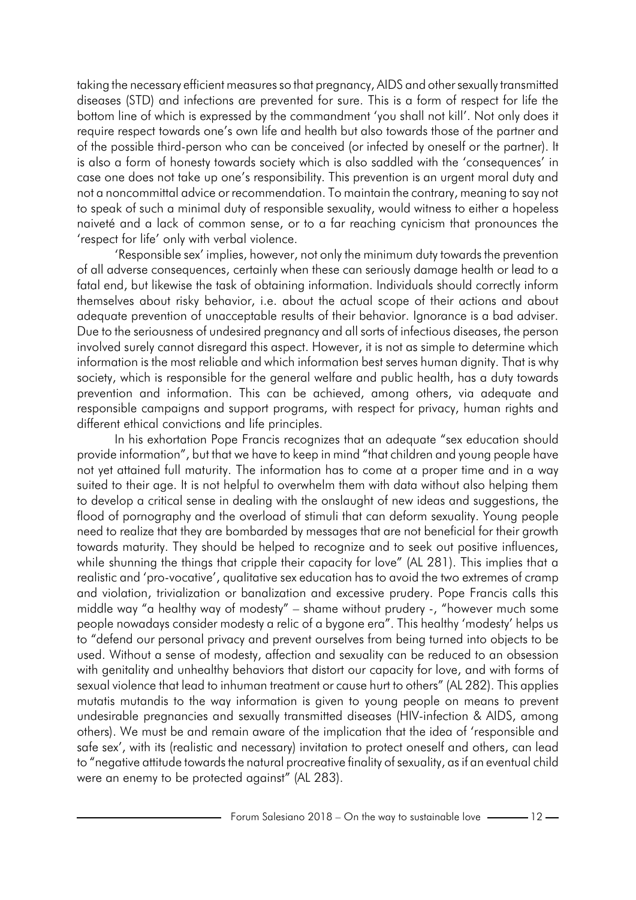taking the necessary efficient measures so that pregnancy, AIDS and othersexually transmitted diseases (STD) and infections are prevented for sure. This is a form of respect for life the bottom line of which is expressed by the commandment 'you shall not kill'. Not only does it require respect towards one's own life and health but also towards those of the partner and of the possible third-person who can be conceived (or infected by oneself or the partner). It is also a form of honesty towards society which is also saddled with the 'consequences' in case one does not take up one's responsibility. This prevention is an urgent moral duty and not a noncommittal advice or recommendation. To maintain the contrary, meaning to say not to speak of such a minimal duty of responsible sexuality, would witness to either a hopeless naiveté and a lack of common sense, or to a far reaching cynicism that pronounces the 'respect for life' only with verbal violence.

'Responsible sex' implies, however, not only the minimum duty towards the prevention of all adverse consequences, certainly when these can seriously damage health or lead to a fatal end, but likewise the task of obtaining information. Individuals should correctly inform themselves about risky behavior, i.e. about the actual scope of their actions and about adequate prevention of unacceptable results of their behavior. Ignorance is a bad adviser. Due to the seriousness of undesired pregnancy and all sorts of infectious diseases, the person involved surely cannot disregard this aspect. However, it is not as simple to determine which information is the most reliable and which information best serves human dignity. That is why society, which is responsible for the general welfare and public health, has a duty towards prevention and information. This can be achieved, among others, via adequate and responsible campaigns and support programs, with respect for privacy, human rights and different ethical convictions and life principles.

In his exhortation Pope Francis recognizes that an adequate "sex education should provide information", but that we have to keep in mind "that children and young people have not yet attained full maturity. The information has to come at a proper time and in a way suited to their age. It is not helpful to overwhelm them with data without also helping them to develop a critical sense in dealing with the onslaught of new ideas and suggestions, the flood of pornography and the overload of stimuli that can deform sexuality. Young people need to realize that they are bombarded by messages that are not beneficial for their growth towards maturity. They should be helped to recognize and to seek out positive influences, while shunning the things that cripple their capacity for love" (AL 281). This implies that a realistic and 'pro-vocative', qualitative sex education has to avoid the two extremes of cramp and violation, trivialization or banalization and excessive prudery. Pope Francis calls this middle way "a healthy way of modesty" – shame without prudery -, "however much some people nowadays consider modesty a relic of a bygone era". This healthy 'modesty' helps us to "defend our personal privacy and prevent ourselves from being turned into objects to be used. Without a sense of modesty, affection and sexuality can be reduced to an obsession with genitality and unhealthy behaviors that distort our capacity for love, and with forms of sexual violence that lead to inhuman treatment or cause hurt to others" (AL 282). This applies mutatis mutandis to the way information is given to young people on means to prevent undesirable pregnancies and sexually transmitted diseases (HIV-infection & AIDS, among others). We must be and remain aware of the implication that the idea of 'responsible and safe sex', with its (realistic and necessary) invitation to protect oneself and others, can lead to "negative attitude towards the natural procreative finality of sexuality, as if an eventual child were an enemy to be protected against" (AL 283).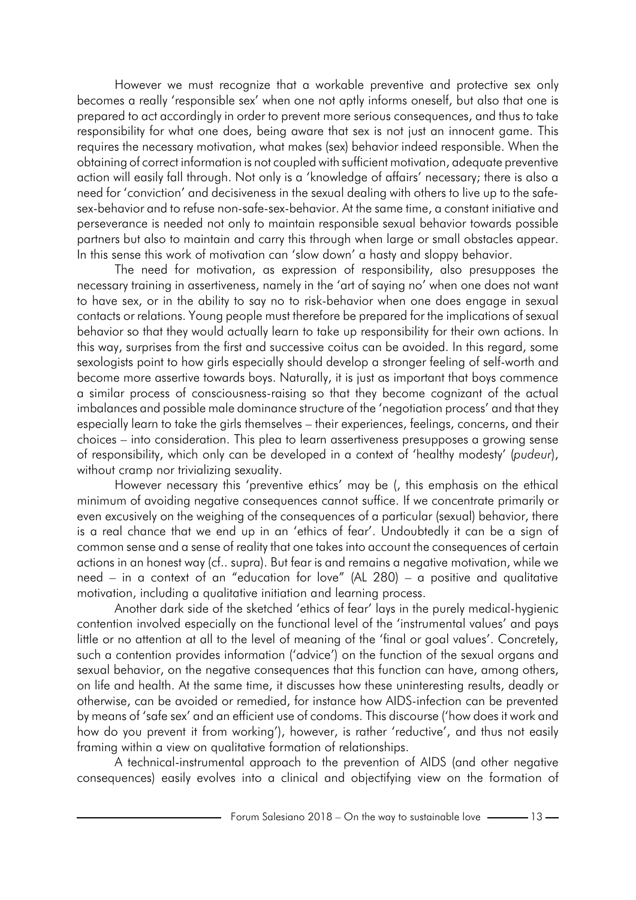However we must recognize that a workable preventive and protective sex only becomes a really 'responsible sex' when one not aptly informs oneself, but also that one is prepared to act accordingly in order to prevent more serious consequences, and thus to take responsibility for what one does, being aware that sex is not just an innocent game. This requires the necessary motivation, what makes (sex) behavior indeed responsible. When the obtaining of correct information is not coupled with sufficient motivation, adequate preventive action will easily fall through. Not only is a 'knowledge of affairs' necessary; there is also a need for 'conviction' and decisiveness in the sexual dealing with others to live up to the safesex-behavior and to refuse non-safe-sex-behavior. At the same time, a constant initiative and perseverance is needed not only to maintain responsible sexual behavior towards possible partners but also to maintain and carry this through when large or small obstacles appear. In this sense this work of motivation can 'slow down' a hasty and sloppy behavior.

The need for motivation, as expression of responsibility, also presupposes the necessary training in assertiveness, namely in the 'art of saying no' when one does not want to have sex, or in the ability to say no to risk-behavior when one does engage in sexual contacts or relations. Young people must therefore be prepared for the implications of sexual behavior so that they would actually learn to take up responsibility for their own actions. In this way, surprises from the first and successive coitus can be avoided. In this regard, some sexologists point to how girls especially should develop a stronger feeling of self-worth and become more assertive towards boys. Naturally, it is just as important that boys commence a similar process of consciousness-raising so that they become cognizant of the actual imbalances and possible male dominance structure of the 'negotiation process' and that they especially learn to take the girls themselves – their experiences, feelings, concerns, and their choices – into consideration. This plea to learn assertiveness presupposes a growing sense of responsibility, which only can be developed in a context of 'healthy modesty' (*pudeur*), without cramp nor trivializing sexuality.

However necessary this 'preventive ethics' may be (, this emphasis on the ethical minimum of avoiding negative consequences cannot suffice. If we concentrate primarily or even excusively on the weighing of the consequences of a particular (sexual) behavior, there is a real chance that we end up in an 'ethics of fear'. Undoubtedly it can be a sign of common sense and a sense of reality that one takes into account the consequences of certain actions in an honest way (cf.. supra). But fear is and remains a negative motivation, while we need – in a context of an "education for love" (AL 280) – a positive and qualitative motivation, including a qualitative initiation and learning process.

Another dark side of the sketched 'ethics of fear' lays in the purely medical-hygienic contention involved especially on the functional level of the 'instrumental values' and pays little or no attention at all to the level of meaning of the 'final or goal values'. Concretely, such a contention provides information ('advice') on the function of the sexual organs and sexual behavior, on the negative consequences that this function can have, among others, on life and health. At the same time, it discusses how these uninteresting results, deadly or otherwise, can be avoided or remedied, for instance how AIDS-infection can be prevented by means of 'safe sex' and an efficient use of condoms. This discourse ('how does it work and how do you prevent it from working'), however, is rather 'reductive', and thus not easily framing within a view on qualitative formation of relationships.

A technical-instrumental approach to the prevention of AIDS (and other negative consequences) easily evolves into a clinical and objectifying view on the formation of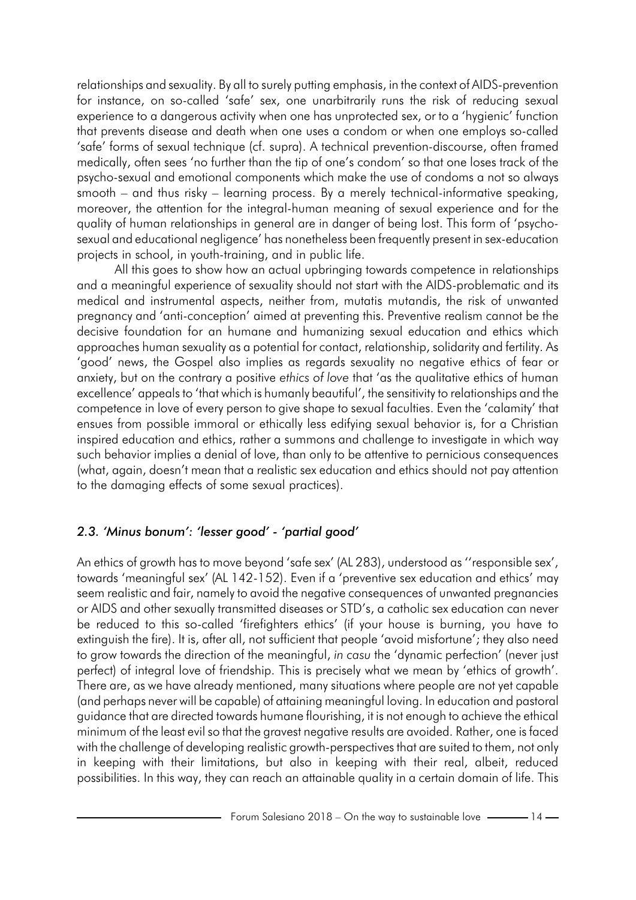relationships and sexuality. By all to surely putting emphasis, in the context of AIDS-prevention for instance, on so-called 'safe' sex, one unarbitrarily runs the risk of reducing sexual experience to a dangerous activity when one has unprotected sex, or to a 'hygienic' function that prevents disease and death when one uses a condom or when one employs so-called 'safe' forms of sexual technique (cf. supra). A technical prevention-discourse, often framed medically, often sees 'no further than the tip of one's condom' so that one loses track of the psycho-sexual and emotional components which make the use of condoms a not so always smooth – and thus risky – learning process. By a merely technical-informative speaking, moreover, the attention for the integral-human meaning of sexual experience and for the quality of human relationships in general are in danger of being lost. This form of 'psychosexual and educational negligence' has nonetheless been frequently present in sex-education projects in school, in youth-training, and in public life.

All this goes to show how an actual upbringing towards competence in relationships and a meaningful experience of sexuality should not start with the AIDS-problematic and its medical and instrumental aspects, neither from, mutatis mutandis, the risk of unwanted pregnancy and 'anti-conception' aimed at preventing this. Preventive realism cannot be the decisive foundation for an humane and humanizing sexual education and ethics which approaches human sexuality as a potential for contact, relationship, solidarity and fertility. As 'good' news, the Gospel also implies as regards sexuality no negative ethics of fear or anxiety, but on the contrary a positive *ethics of love* that 'as the qualitative ethics of human excellence' appeals to 'that which is humanly beautiful', the sensitivity to relationships and the competence in love of every person to give shape to sexual faculties. Even the 'calamity' that ensues from possible immoral or ethically less edifying sexual behavior is, for a Christian inspired education and ethics, rather a summons and challenge to investigate in which way such behavior implies a denial of love, than only to be attentive to pernicious consequences (what, again, doesn't mean that a realistic sex education and ethics should not pay attention to the damaging effects of some sexual practices).

# *2.3. 'Minus bonum': 'lesser good' - 'partial good'*

An ethics of growth has to move beyond 'safe sex' (AL 283), understood as ''responsible sex', towards 'meaningful sex' (AL 142-152). Even if a 'preventive sex education and ethics' may seem realistic and fair, namely to avoid the negative consequences of unwanted pregnancies or AIDS and other sexually transmitted diseases or STD's, a catholic sex education can never be reduced to this so-called 'firefighters ethics' (if your house is burning, you have to extinguish the fire). It is, after all, not sufficient that people 'avoid misfortune'; they also need to grow towards the direction of the meaningful, *in casu* the 'dynamic perfection' (never just perfect) of integral love of friendship. This is precisely what we mean by 'ethics of growth'. There are, as we have already mentioned, many situations where people are not yet capable (and perhaps never will be capable) of attaining meaningful loving. In education and pastoral guidance that are directed towards humane flourishing, it is not enough to achieve the ethical minimum of the least evil so that the gravest negative results are avoided. Rather, one is faced with the challenge of developing realistic growth-perspectives that are suited to them, not only in keeping with their limitations, but also in keeping with their real, albeit, reduced possibilities. In this way, they can reach an attainable quality in a certain domain of life. This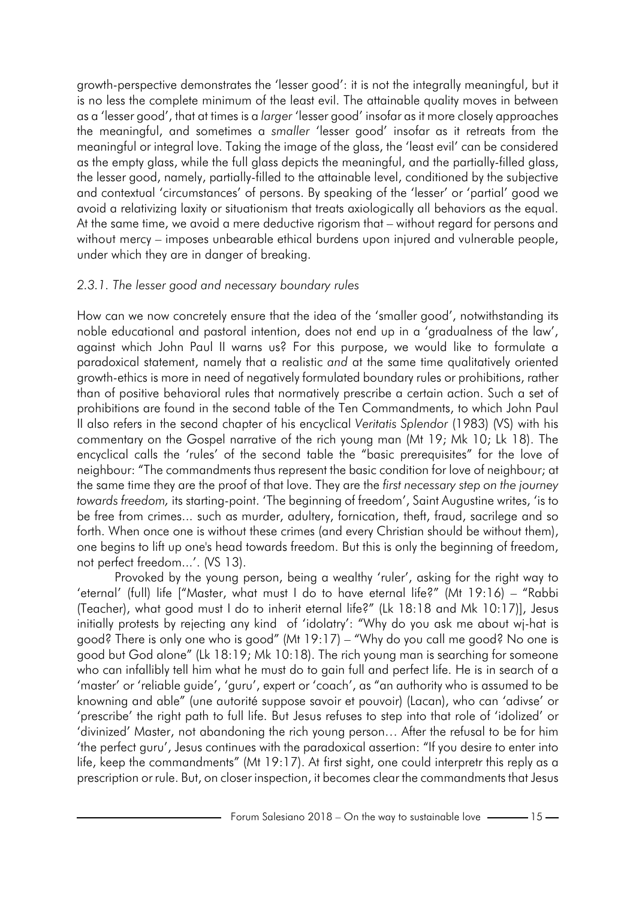growth-perspective demonstrates the 'lesser good': it is not the integrally meaningful, but it is no less the complete minimum of the least evil. The attainable quality moves in between as a 'lesser good', that at times is a *larger* 'lesser good' insofar as it more closely approaches the meaningful, and sometimes a *smaller* 'lesser good' insofar as it retreats from the meaningful or integral love. Taking the image of the glass, the 'least evil' can be considered as the empty glass, while the full glass depicts the meaningful, and the partially-filled glass, the lesser good, namely, partially-filled to the attainable level, conditioned by the subjective and contextual 'circumstances' of persons. By speaking of the 'lesser' or 'partial' good we avoid a relativizing laxity or situationism that treats axiologically all behaviors as the equal. At the same time, we avoid a mere deductive rigorism that – without regard for persons and without mercy – imposes unbearable ethical burdens upon injured and vulnerable people, under which they are in danger of breaking.

### *2.3.1. The lesser good and necessary boundary rules*

How can we now concretely ensure that the idea of the 'smaller good', notwithstanding its noble educational and pastoral intention, does not end up in a 'gradualness of the law', against which John Paul II warns us? For this purpose, we would like to formulate a paradoxical statement, namely that a realistic *and* at the same time qualitatively oriented growth-ethics is more in need of negatively formulated boundary rules or prohibitions, rather than of positive behavioral rules that normatively prescribe a certain action. Such a set of prohibitions are found in the second table of the Ten Commandments, to which John Paul II also refers in the second chapter of his encyclical *Veritatis Splendor* (1983) (VS) with his commentary on the Gospel narrative of the rich young man (Mt 19; Mk 10; Lk 18). The encyclical calls the 'rules' of the second table the "basic prerequisites" for the love of neighbour: "The commandments thus represent the basic condition for love of neighbour; at the same time they are the proof of that love. They are the *first necessary step on the journey towards freedom,* its starting-point. 'The beginning of freedom', Saint Augustine writes, 'is to be free from crimes... such as murder, adultery, fornication, theft, fraud, sacrilege and so forth. When once one is without these crimes (and every Christian should be without them), one begins to lift up one's head towards freedom. But this is only the beginning of freedom, not perfect freedom...'. (VS 13).

Provoked by the young person, being a wealthy 'ruler', asking for the right way to 'eternal' (full) life ["Master, what must I do to have eternal life?" (Mt 19:16) – "Rabbi (Teacher), what good must I do to inherit eternal life?" (Lk 18:18 and Mk 10:17)], Jesus initially protests by rejecting any kind of 'idolatry': "Why do you ask me about wj-hat is good? There is only one who is good" (Mt 19:17) – "Why do you call me good? No one is good but God alone" (Lk 18:19; Mk 10:18). The rich young man is searching for someone who can infallibly tell him what he must do to gain full and perfect life. He is in search of a 'master' or 'reliable guide', 'guru', expert or 'coach', as "an authority who is assumed to be knowning and able" (une autorité suppose savoir et pouvoir) (Lacan), who can 'adivse' or 'prescribe' the right path to full life. But Jesus refuses to step into that role of 'idolized' or 'divinized' Master, not abandoning the rich young person… After the refusal to be for him 'the perfect guru', Jesus continues with the paradoxical assertion: "If you desire to enter into life, keep the commandments" (Mt 19:17). At first sight, one could interpretr this reply as a prescription or rule. But, on closer inspection, it becomes clear the commandments that Jesus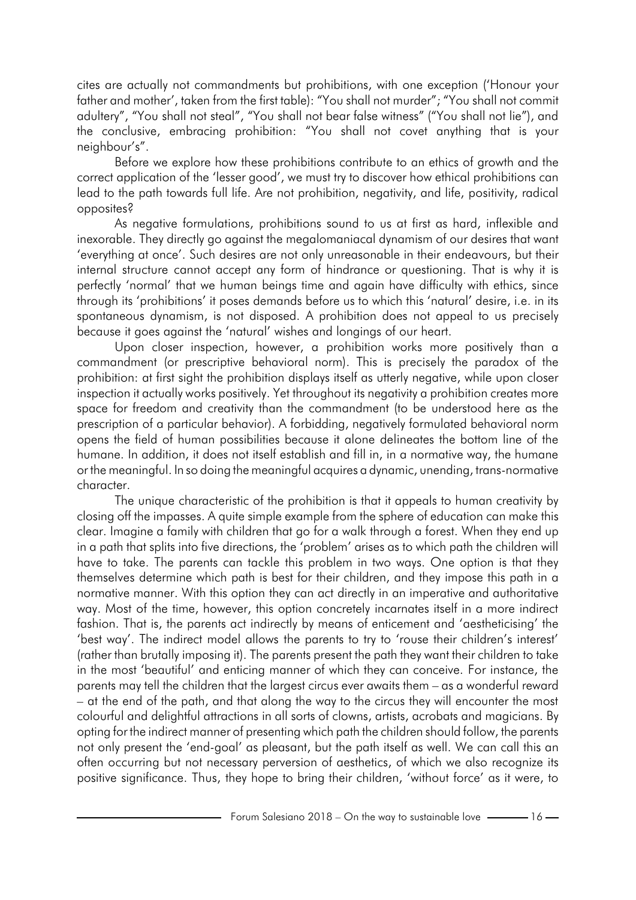cites are actually not commandments but prohibitions, with one exception ('Honour your father and mother', taken from the first table): "You shall not murder"; "You shall not commit adultery", "You shall not steal", "You shall not bear false witness" ("You shall not lie"), and the conclusive, embracing prohibition: "You shall not covet anything that is your neighbour's".

Before we explore how these prohibitions contribute to an ethics of growth and the correct application of the 'lesser good', we must try to discover how ethical prohibitions can lead to the path towards full life. Are not prohibition, negativity, and life, positivity, radical opposites?

As negative formulations, prohibitions sound to us at first as hard, inflexible and inexorable. They directly go against the megalomaniacal dynamism of our desires that want 'everything at once'. Such desires are not only unreasonable in their endeavours, but their internal structure cannot accept any form of hindrance or questioning. That is why it is perfectly 'normal' that we human beings time and again have difficulty with ethics, since through its 'prohibitions' it poses demands before us to which this 'natural' desire, i.e. in its spontaneous dynamism, is not disposed. A prohibition does not appeal to us precisely because it goes against the 'natural' wishes and longings of our heart.

Upon closer inspection, however, a prohibition works more positively than a commandment (or prescriptive behavioral norm). This is precisely the paradox of the prohibition: at first sight the prohibition displays itself as utterly negative, while upon closer inspection it actually works positively. Yet throughout its negativity a prohibition creates more space for freedom and creativity than the commandment (to be understood here as the prescription of a particular behavior). A forbidding, negatively formulated behavioral norm opens the field of human possibilities because it alone delineates the bottom line of the humane. In addition, it does not itself establish and fill in, in a normative way, the humane or the meaningful. In so doing the meaningful acquires a dynamic, unending, trans-normative character.

The unique characteristic of the prohibition is that it appeals to human creativity by closing off the impasses. A quite simple example from the sphere of education can make this clear. Imagine a family with children that go for a walk through a forest. When they end up in a path that splits into five directions, the 'problem' arises as to which path the children will have to take. The parents can tackle this problem in two ways. One option is that they themselves determine which path is best for their children, and they impose this path in a normative manner. With this option they can act directly in an imperative and authoritative way. Most of the time, however, this option concretely incarnates itself in a more indirect fashion. That is, the parents act indirectly by means of enticement and 'aestheticising' the 'best way'. The indirect model allows the parents to try to 'rouse their children's interest' (rather than brutally imposing it). The parents present the path they want their children to take in the most 'beautiful' and enticing manner of which they can conceive. For instance, the parents may tell the children that the largest circus ever awaits them – as a wonderful reward – at the end of the path, and that along the way to the circus they will encounter the most colourful and delightful attractions in all sorts of clowns, artists, acrobats and magicians. By opting for the indirect manner of presenting which path the children should follow, the parents not only present the 'end-goal' as pleasant, but the path itself as well. We can call this an often occurring but not necessary perversion of aesthetics, of which we also recognize its positive significance. Thus, they hope to bring their children, 'without force' as it were, to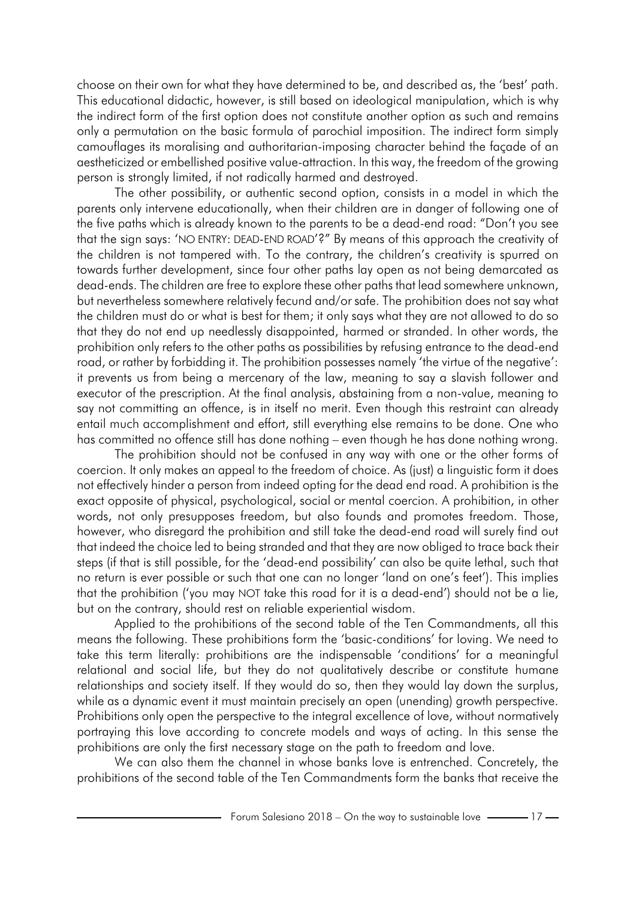choose on their own for what they have determined to be, and described as, the 'best' path. This educational didactic, however, is still based on ideological manipulation, which is why the indirect form of the first option does not constitute another option as such and remains only a permutation on the basic formula of parochial imposition. The indirect form simply camouflages its moralising and authoritarian-imposing character behind the façade of an aestheticized or embellished positive value-attraction. In this way, the freedom of the growing person is strongly limited, if not radically harmed and destroyed.

The other possibility, or authentic second option, consists in a model in which the parents only intervene educationally, when their children are in danger of following one of the five paths which is already known to the parents to be a dead-end road: "Don't you see that the sign says: 'NO ENTRY: DEAD-END ROAD'?" By means of this approach the creativity of the children is not tampered with. To the contrary, the children's creativity is spurred on towards further development, since four other paths lay open as not being demarcated as dead-ends. The children are free to explore these other paths that lead somewhere unknown, but nevertheless somewhere relatively fecund and/or safe. The prohibition does not say what the children must do or what is best for them; it only says what they are not allowed to do so that they do not end up needlessly disappointed, harmed or stranded. In other words, the prohibition only refers to the other paths as possibilities by refusing entrance to the dead-end road, or rather by forbidding it. The prohibition possesses namely 'the virtue of the negative': it prevents us from being a mercenary of the law, meaning to say a slavish follower and executor of the prescription. At the final analysis, abstaining from a non-value, meaning to say not committing an offence, is in itself no merit. Even though this restraint can already entail much accomplishment and effort, still everything else remains to be done. One who has committed no offence still has done nothing – even though he has done nothing wrong.

The prohibition should not be confused in any way with one or the other forms of coercion. It only makes an appeal to the freedom of choice. As (just) a linguistic form it does not effectively hinder a person from indeed opting for the dead end road. A prohibition is the exact opposite of physical, psychological, social or mental coercion. A prohibition, in other words, not only presupposes freedom, but also founds and promotes freedom. Those, however, who disregard the prohibition and still take the dead-end road will surely find out that indeed the choice led to being stranded and that they are now obliged to trace back their steps (if that is still possible, for the 'dead-end possibility' can also be quite lethal, such that no return is ever possible or such that one can no longer 'land on one's feet'). This implies that the prohibition ('you may NOT take this road for it is a dead-end') should not be a lie, but on the contrary, should rest on reliable experiential wisdom.

Applied to the prohibitions of the second table of the Ten Commandments, all this means the following. These prohibitions form the 'basic-conditions' for loving. We need to take this term literally: prohibitions are the indispensable 'conditions' for a meaningful relational and social life, but they do not qualitatively describe or constitute humane relationships and society itself. If they would do so, then they would lay down the surplus, while as a dynamic event it must maintain precisely an open (unending) growth perspective. Prohibitions only open the perspective to the integral excellence of love, without normatively portraying this love according to concrete models and ways of acting. In this sense the prohibitions are only the first necessary stage on the path to freedom and love.

We can also them the channel in whose banks love is entrenched. Concretely, the prohibitions of the second table of the Ten Commandments form the banks that receive the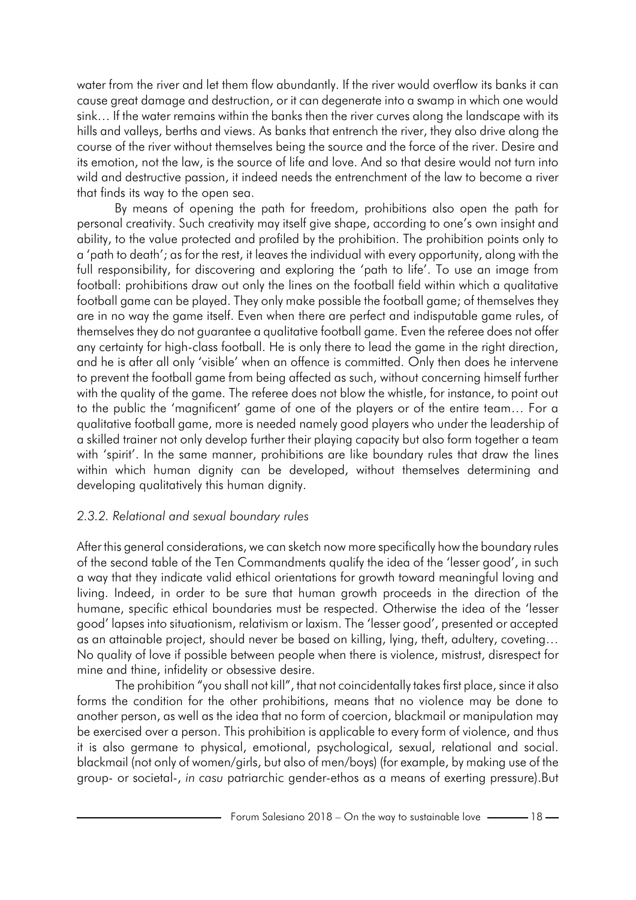water from the river and let them flow abundantly. If the river would overflow its banks it can cause great damage and destruction, or it can degenerate into a swamp in which one would sink… If the water remains within the banks then the river curves along the landscape with its hills and valleys, berths and views. As banks that entrench the river, they also drive along the course of the river without themselves being the source and the force of the river. Desire and its emotion, not the law, is the source of life and love. And so that desire would not turn into wild and destructive passion, it indeed needs the entrenchment of the law to become a river that finds its way to the open sea.

By means of opening the path for freedom, prohibitions also open the path for personal creativity. Such creativity may itself give shape, according to one's own insight and ability, to the value protected and profiled by the prohibition. The prohibition points only to a 'path to death'; as for the rest, it leaves the individual with every opportunity, along with the full responsibility, for discovering and exploring the 'path to life'. To use an image from football: prohibitions draw out only the lines on the football field within which a qualitative football game can be played. They only make possible the football game; of themselves they are in no way the game itself. Even when there are perfect and indisputable game rules, of themselves they do not guarantee a qualitative football game. Even the referee does not offer any certainty for high-class football. He is only there to lead the game in the right direction, and he is after all only 'visible' when an offence is committed. Only then does he intervene to prevent the football game from being affected as such, without concerning himself further with the quality of the game. The referee does not blow the whistle, for instance, to point out to the public the 'magnificent' game of one of the players or of the entire team… For a qualitative football game, more is needed namely good players who under the leadership of a skilled trainer not only develop further their playing capacity but also form together a team with 'spirit'. In the same manner, prohibitions are like boundary rules that draw the lines within which human dignity can be developed, without themselves determining and developing qualitatively this human dignity.

### *2.3.2. Relational and sexual boundary rules*

After this general considerations, we can sketch now more specifically how the boundary rules of the second table of the Ten Commandments qualify the idea of the 'lesser good', in such a way that they indicate valid ethical orientations for growth toward meaningful loving and living. Indeed, in order to be sure that human growth proceeds in the direction of the humane, specific ethical boundaries must be respected. Otherwise the idea of the 'lesser good' lapses into situationism, relativism or laxism. The 'lesser good', presented or accepted as an attainable project, should never be based on killing, lying, theft, adultery, coveting… No quality of love if possible between people when there is violence, mistrust, disrespect for mine and thine, infidelity or obsessive desire.

The prohibition "you shall not kill", that not coincidentally takes first place, since it also forms the condition for the other prohibitions, means that no violence may be done to another person, as well as the idea that no form of coercion, blackmail or manipulation may be exercised over a person. This prohibition is applicable to every form of violence, and thus it is also germane to physical, emotional, psychological, sexual, relational and social. blackmail (not only of women/girls, but also of men/boys) (for example, by making use of the group- or societal-, *in casu* patriarchic gender-ethos as a means of exerting pressure).But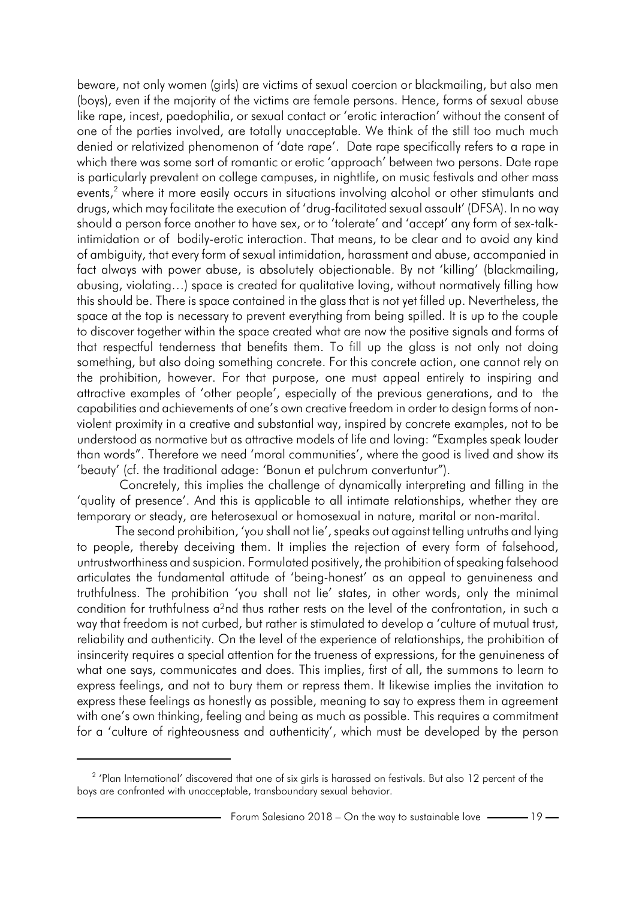beware, not only women (girls) are victims of sexual coercion or blackmailing, but also men (boys), even if the majority of the victims are female persons. Hence, forms of sexual abuse like rape, incest, paedophilia, or sexual contact or 'erotic interaction' without the consent of one of the parties involved, are totally unacceptable. We think of the still too much much denied or relativized phenomenon of 'date rape'. Date rape specifically refers to a rape in which there was some sort of romantic or erotic 'approach' between two persons. Date rape is particularly prevalent on college campuses, in nightlife, on music festivals and other mass events,<sup>2</sup> where it more easily occurs in situations involving alcohol or other stimulants and drugs, which may facilitate the execution of 'drug-facilitated sexual assault' (DFSA). In no way should a person force another to have sex, or to 'tolerate' and 'accept' any form of sex-talkintimidation or of bodily-erotic interaction. That means, to be clear and to avoid any kind of ambiguity, that every form of sexual intimidation, harassment and abuse, accompanied in fact always with power abuse, is absolutely objectionable. By not 'killing' (blackmailing, abusing, violating…) space is created for qualitative loving, without normatively filling how this should be. There is space contained in the glass that is not yet filled up. Nevertheless, the space at the top is necessary to prevent everything from being spilled. It is up to the couple to discover together within the space created what are now the positive signals and forms of that respectful tenderness that benefits them. To fill up the glass is not only not doing something, but also doing something concrete. For this concrete action, one cannot rely on the prohibition, however. For that purpose, one must appeal entirely to inspiring and attractive examples of 'other people', especially of the previous generations, and to the capabilities and achievements of one's own creative freedom in order to design forms of nonviolent proximity in a creative and substantial way, inspired by concrete examples, not to be understood as normative but as attractive models of life and loving: "Examples speak louder than words". Therefore we need 'moral communities', where the good is lived and show its 'beauty' (cf. the traditional adage: 'Bonun et pulchrum convertuntur").

Concretely, this implies the challenge of dynamically interpreting and filling in the 'quality of presence'. And this is applicable to all intimate relationships, whether they are temporary or steady, are heterosexual or homosexual in nature, marital or non-marital.

The second prohibition, 'you shall not lie', speaks out against telling untruths and lying to people, thereby deceiving them. It implies the rejection of every form of falsehood, untrustworthiness and suspicion. Formulated positively, the prohibition of speaking falsehood articulates the fundamental attitude of 'being-honest' as an appeal to genuineness and truthfulness. The prohibition 'you shall not lie' states, in other words, only the minimal condition for truthfulness a<sup>2</sup>nd thus rather rests on the level of the confrontation, in such a way that freedom is not curbed, but rather is stimulated to develop a 'culture of mutual trust, reliability and authenticity. On the level of the experience of relationships, the prohibition of insincerity requires a special attention for the trueness of expressions, for the genuineness of what one says, communicates and does. This implies, first of all, the summons to learn to express feelings, and not to bury them or repress them. It likewise implies the invitation to express these feelings as honestly as possible, meaning to say to express them in agreement with one's own thinking, feeling and being as much as possible. This requires a commitment for a 'culture of righteousness and authenticity', which must be developed by the person

 $^2$  'Plan International' discovered that one of six girls is harassed on festivals. But also 12 percent of the boys are confronted with unacceptable, transboundary sexual behavior.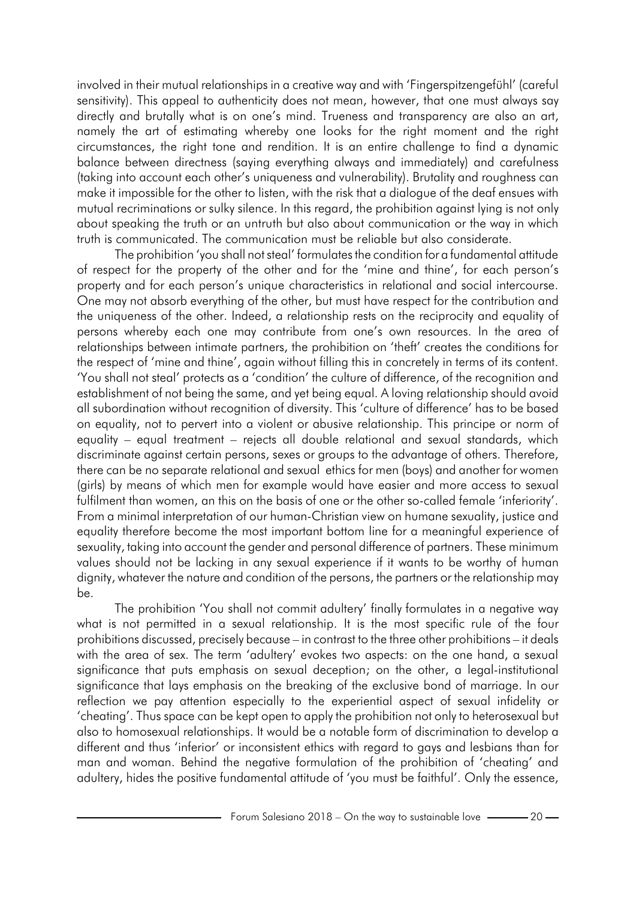involved in their mutual relationships in a creative way and with 'Fingerspitzengefühl' (careful sensitivity). This appeal to authenticity does not mean, however, that one must always say directly and brutally what is on one's mind. Trueness and transparency are also an art, namely the art of estimating whereby one looks for the right moment and the right circumstances, the right tone and rendition. It is an entire challenge to find a dynamic balance between directness (saying everything always and immediately) and carefulness (taking into account each other's uniqueness and vulnerability). Brutality and roughness can make it impossible for the other to listen, with the risk that a dialogue of the deaf ensues with mutual recriminations or sulky silence. In this regard, the prohibition against lying is not only about speaking the truth or an untruth but also about communication or the way in which truth is communicated. The communication must be reliable but also considerate.

The prohibition 'you shall not steal' formulates the condition for a fundamental attitude of respect for the property of the other and for the 'mine and thine', for each person's property and for each person's unique characteristics in relational and social intercourse. One may not absorb everything of the other, but must have respect for the contribution and the uniqueness of the other. Indeed, a relationship rests on the reciprocity and equality of persons whereby each one may contribute from one's own resources. In the area of relationships between intimate partners, the prohibition on 'theft' creates the conditions for the respect of 'mine and thine', again without filling this in concretely in terms of its content. 'You shall not steal' protects as a 'condition' the culture of difference, of the recognition and establishment of not being the same, and yet being equal. A loving relationship should avoid all subordination without recognition of diversity. This 'culture of difference' has to be based on equality, not to pervert into a violent or abusive relationship. This principe or norm of equality – equal treatment – rejects all double relational and sexual standards, which discriminate against certain persons, sexes or groups to the advantage of others. Therefore, there can be no separate relational and sexual ethics for men (boys) and another for women (girls) by means of which men for example would have easier and more access to sexual fulfilment than women, an this on the basis of one or the other so-called female 'inferiority'. From a minimal interpretation of our human-Christian view on humane sexuality, justice and equality therefore become the most important bottom line for a meaningful experience of sexuality, taking into account the gender and personal difference of partners. These minimum values should not be lacking in any sexual experience if it wants to be worthy of human dignity, whatever the nature and condition of the persons, the partners or the relationship may be.

The prohibition 'You shall not commit adultery' finally formulates in a negative way what is not permitted in a sexual relationship. It is the most specific rule of the four prohibitions discussed, precisely because – in contrast to the three other prohibitions – it deals with the area of sex. The term 'adultery' evokes two aspects: on the one hand, a sexual significance that puts emphasis on sexual deception; on the other, a legal-institutional significance that lays emphasis on the breaking of the exclusive bond of marriage. In our reflection we pay attention especially to the experiential aspect of sexual infidelity or 'cheating'. Thus space can be kept open to apply the prohibition not only to heterosexual but also to homosexual relationships. It would be a notable form of discrimination to develop a different and thus 'inferior' or inconsistent ethics with regard to gays and lesbians than for man and woman. Behind the negative formulation of the prohibition of 'cheating' and adultery, hides the positive fundamental attitude of 'you must be faithful'. Only the essence,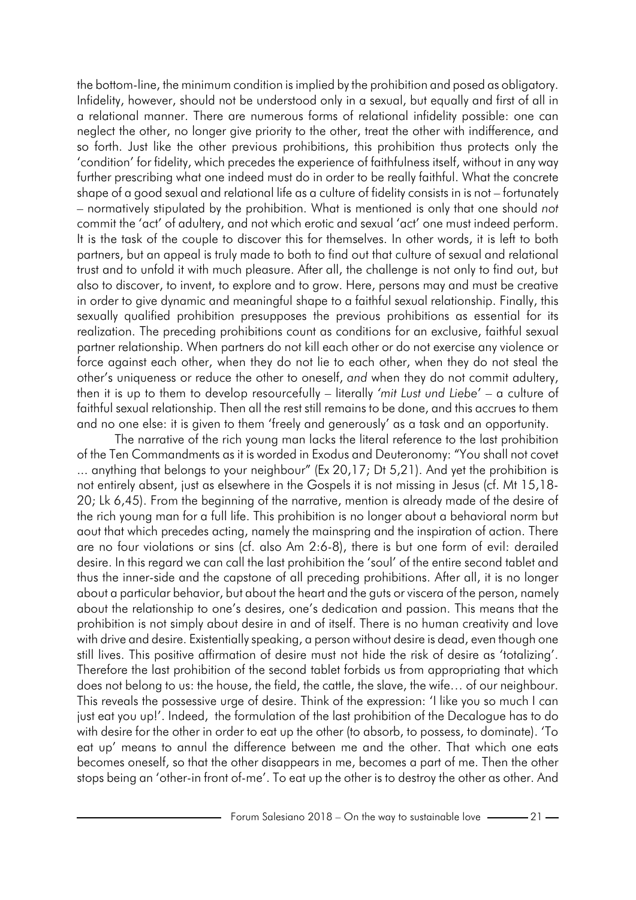the bottom-line, the minimum condition is implied by the prohibition and posed as obligatory. Infidelity, however, should not be understood only in a sexual, but equally and first of all in a relational manner. There are numerous forms of relational infidelity possible: one can neglect the other, no longer give priority to the other, treat the other with indifference, and so forth. Just like the other previous prohibitions, this prohibition thus protects only the 'condition' for fidelity, which precedes the experience of faithfulness itself, without in any way further prescribing what one indeed must do in order to be really faithful. What the concrete shape of a good sexual and relational life as a culture of fidelity consists in is not – fortunately – normatively stipulated by the prohibition. What is mentioned is only that one should *not* commit the 'act' of adultery, and not which erotic and sexual 'act' one must indeed perform. It is the task of the couple to discover this for themselves. In other words, it is left to both partners, but an appeal is truly made to both to find out that culture of sexual and relational trust and to unfold it with much pleasure. After all, the challenge is not only to find out, but also to discover, to invent, to explore and to grow. Here, persons may and must be creative in order to give dynamic and meaningful shape to a faithful sexual relationship. Finally, this sexually qualified prohibition presupposes the previous prohibitions as essential for its realization. The preceding prohibitions count as conditions for an exclusive, faithful sexual partner relationship. When partners do not kill each other or do not exercise any violence or force against each other, when they do not lie to each other, when they do not steal the other's uniqueness or reduce the other to oneself, *and* when they do not commit adultery, then it is up to them to develop resourcefully – literally *'mit Lust und Liebe*' – a culture of faithful sexual relationship. Then all the rest still remains to be done, and this accrues to them and no one else: it is given to them 'freely and generously' as a task and an opportunity.

The narrative of the rich young man lacks the literal reference to the last prohibition of the Ten Commandments as it is worded in Exodus and Deuteronomy: "You shall not covet ... anything that belongs to your neighbour" (Ex 20,17; Dt 5,21). And yet the prohibition is not entirely absent, just as elsewhere in the Gospels it is not missing in Jesus (cf. Mt 15,18- 20; Lk 6,45). From the beginning of the narrative, mention is already made of the desire of the rich young man for a full life. This prohibition is no longer about a behavioral norm but aout that which precedes acting, namely the mainspring and the inspiration of action. There are no four violations or sins (cf. also Am 2:6-8), there is but one form of evil: derailed desire. In this regard we can call the last prohibition the 'soul' of the entire second tablet and thus the inner-side and the capstone of all preceding prohibitions. After all, it is no longer about a particular behavior, but about the heart and the guts or viscera of the person, namely about the relationship to one's desires, one's dedication and passion. This means that the prohibition is not simply about desire in and of itself. There is no human creativity and love with drive and desire. Existentially speaking, a person without desire is dead, even though one still lives. This positive affirmation of desire must not hide the risk of desire as 'totalizing'. Therefore the last prohibition of the second tablet forbids us from appropriating that which does not belong to us: the house, the field, the cattle, the slave, the wife… of our neighbour. This reveals the possessive urge of desire. Think of the expression: 'I like you so much I can just eat you up!'. Indeed, the formulation of the last prohibition of the Decalogue has to do with desire for the other in order to eat up the other (to absorb, to possess, to dominate). 'To eat up' means to annul the difference between me and the other. That which one eats becomes oneself, so that the other disappears in me, becomes a part of me. Then the other stops being an 'other-in front of-me'. To eat up the other is to destroy the other as other. And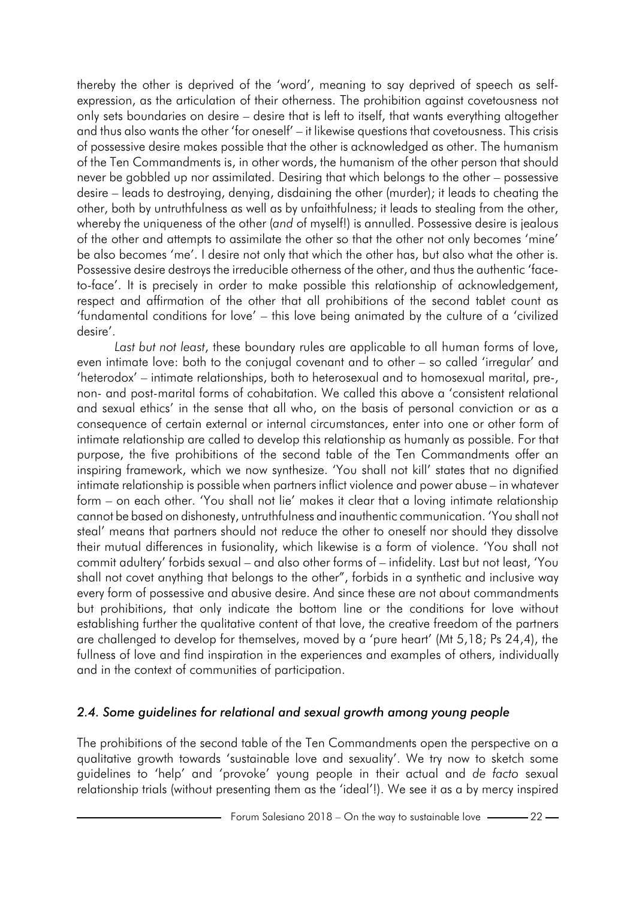thereby the other is deprived of the 'word', meaning to say deprived of speech as selfexpression, as the articulation of their otherness. The prohibition against covetousness not only sets boundaries on desire – desire that is left to itself, that wants everything altogether and thus also wants the other 'for oneself' – it likewise questions that covetousness. This crisis of possessive desire makes possible that the other is acknowledged as other. The humanism of the Ten Commandments is, in other words, the humanism of the other person that should never be gobbled up nor assimilated. Desiring that which belongs to the other – possessive desire – leads to destroying, denying, disdaining the other (murder); it leads to cheating the other, both by untruthfulness as well as by unfaithfulness; it leads to stealing from the other, whereby the uniqueness of the other (*and* of myself!) is annulled. Possessive desire is jealous of the other and attempts to assimilate the other so that the other not only becomes 'mine' be also becomes 'me'. I desire not only that which the other has, but also what the other is. Possessive desire destroys the irreducible otherness of the other, and thus the authentic 'faceto-face'. It is precisely in order to make possible this relationship of acknowledgement, respect and affirmation of the other that all prohibitions of the second tablet count as 'fundamental conditions for love' – this love being animated by the culture of a 'civilized desire'.

*Last but not least*, these boundary rules are applicable to all human forms of love, even intimate love: both to the conjugal covenant and to other – so called 'irregular' and 'heterodox' – intimate relationships, both to heterosexual and to homosexual marital, pre-, non- and post-marital forms of cohabitation. We called this above a 'consistent relational and sexual ethics' in the sense that all who, on the basis of personal conviction or as a consequence of certain external or internal circumstances, enter into one or other form of intimate relationship are called to develop this relationship as humanly as possible. For that purpose, the five prohibitions of the second table of the Ten Commandments offer an inspiring framework, which we now synthesize. 'You shall not kill' states that no dignified intimate relationship is possible when partners inflict violence and power abuse – in whatever form – on each other. 'You shall not lie' makes it clear that a loving intimate relationship cannot be based on dishonesty, untruthfulness and inauthentic communication. 'You shall not steal' means that partners should not reduce the other to oneself nor should they dissolve their mutual differences in fusionality, which likewise is a form of violence. 'You shall not commit adultery' forbids sexual – and also other forms of – infidelity. Last but not least, 'You shall not covet anything that belongs to the other", forbids in a synthetic and inclusive way every form of possessive and abusive desire. And since these are not about commandments but prohibitions, that only indicate the bottom line or the conditions for love without establishing further the qualitative content of that love, the creative freedom of the partners are challenged to develop for themselves, moved by a 'pure heart' (Mt 5,18; Ps 24,4), the fullness of love and find inspiration in the experiences and examples of others, individually and in the context of communities of participation.

### *2.4. Some guidelines for relational and sexual growth among young people*

The prohibitions of the second table of the Ten Commandments open the perspective on a qualitative growth towards 'sustainable love and sexuality'. We try now to sketch some guidelines to 'help' and 'provoke' young people in their actual and *de facto* sexual relationship trials (without presenting them as the 'ideal'!). We see it as a by mercy inspired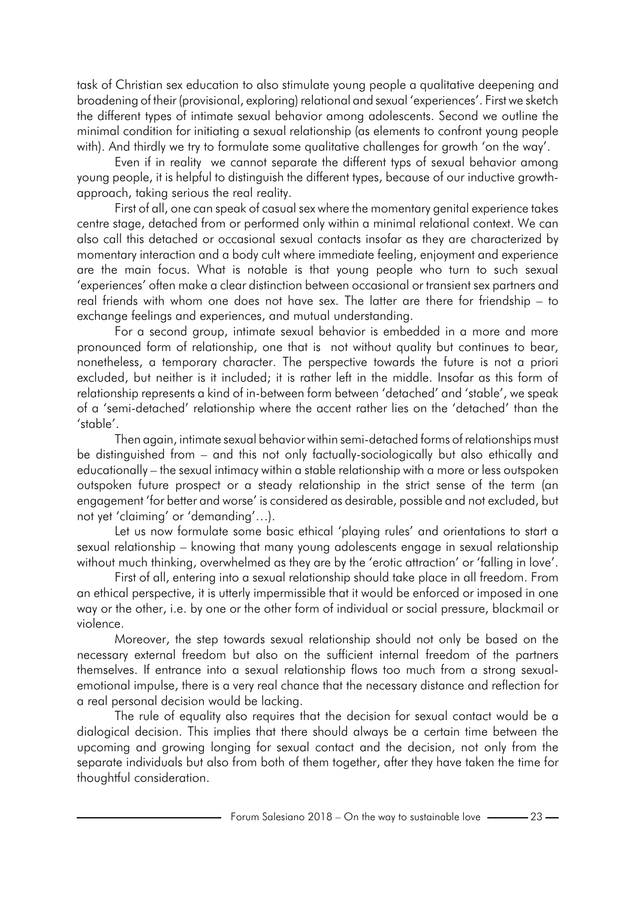task of Christian sex education to also stimulate young people a qualitative deepening and broadening of their (provisional, exploring) relational and sexual 'experiences'. First we sketch the different types of intimate sexual behavior among adolescents. Second we outline the minimal condition for initiating a sexual relationship (as elements to confront young people with). And thirdly we try to formulate some qualitative challenges for growth 'on the way'.

Even if in reality we cannot separate the different typs of sexual behavior among young people, it is helpful to distinguish the different types, because of our inductive growthapproach, taking serious the real reality.

First of all, one can speak of casual sex where the momentary genital experience takes centre stage, detached from or performed only within a minimal relational context. We can also call this detached or occasional sexual contacts insofar as they are characterized by momentary interaction and a body cult where immediate feeling, enjoyment and experience are the main focus. What is notable is that young people who turn to such sexual 'experiences' often make a clear distinction between occasional or transient sex partners and real friends with whom one does not have sex. The latter are there for friendship – to exchange feelings and experiences, and mutual understanding.

For a second group, intimate sexual behavior is embedded in a more and more pronounced form of relationship, one that is not without quality but continues to bear, nonetheless, a temporary character. The perspective towards the future is not a priori excluded, but neither is it included; it is rather left in the middle. Insofar as this form of relationship represents a kind of in-between form between 'detached' and 'stable', we speak of a 'semi-detached' relationship where the accent rather lies on the 'detached' than the 'stable'.

Then again, intimate sexual behavior within semi-detached forms of relationships must be distinguished from – and this not only factually-sociologically but also ethically and educationally – the sexual intimacy within a stable relationship with a more or less outspoken outspoken future prospect or a steady relationship in the strict sense of the term (an engagement 'for better and worse' is considered as desirable, possible and not excluded, but not yet 'claiming' or 'demanding'…).

Let us now formulate some basic ethical 'playing rules' and orientations to start a sexual relationship – knowing that many young adolescents engage in sexual relationship without much thinking, overwhelmed as they are by the 'erotic attraction' or 'falling in love'.

First of all, entering into a sexual relationship should take place in all freedom. From an ethical perspective, it is utterly impermissible that it would be enforced or imposed in one way or the other, i.e. by one or the other form of individual or social pressure, blackmail or violence.

Moreover, the step towards sexual relationship should not only be based on the necessary external freedom but also on the sufficient internal freedom of the partners themselves. If entrance into a sexual relationship flows too much from a strong sexualemotional impulse, there is a very real chance that the necessary distance and reflection for a real personal decision would be lacking.

The rule of equality also requires that the decision for sexual contact would be a dialogical decision. This implies that there should always be a certain time between the upcoming and growing longing for sexual contact and the decision, not only from the separate individuals but also from both of them together, after they have taken the time for thoughtful consideration.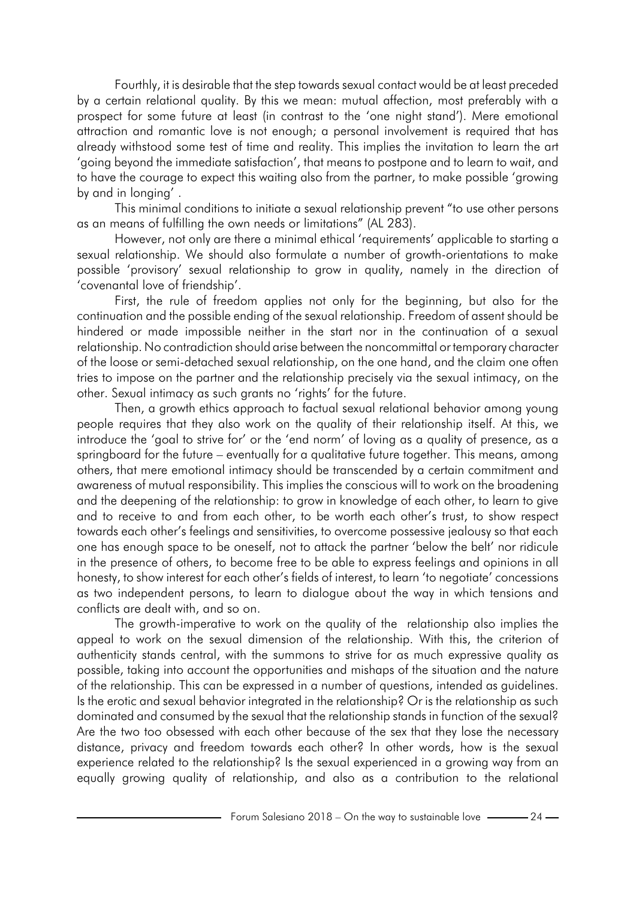Fourthly, it is desirable that the step towards sexual contact would be at least preceded by a certain relational quality. By this we mean: mutual affection, most preferably with a prospect for some future at least (in contrast to the 'one night stand'). Mere emotional attraction and romantic love is not enough; a personal involvement is required that has already withstood some test of time and reality. This implies the invitation to learn the art 'going beyond the immediate satisfaction', that means to postpone and to learn to wait, and to have the courage to expect this waiting also from the partner, to make possible 'growing by and in longing' .

This minimal conditions to initiate a sexual relationship prevent "to use other persons as an means of fulfilling the own needs or limitations" (AL 283).

However, not only are there a minimal ethical 'requirements' applicable to starting a sexual relationship. We should also formulate a number of growth-orientations to make possible 'provisory' sexual relationship to grow in quality, namely in the direction of 'covenantal love of friendship'.

First, the rule of freedom applies not only for the beginning, but also for the continuation and the possible ending of the sexual relationship. Freedom of assent should be hindered or made impossible neither in the start nor in the continuation of a sexual relationship. No contradiction should arise between the noncommittal or temporary character of the loose or semi-detached sexual relationship, on the one hand, and the claim one often tries to impose on the partner and the relationship precisely via the sexual intimacy, on the other. Sexual intimacy as such grants no 'rights' for the future.

Then, a growth ethics approach to factual sexual relational behavior among young people requires that they also work on the quality of their relationship itself. At this, we introduce the 'goal to strive for' or the 'end norm' of loving as a quality of presence, as a springboard for the future – eventually for a qualitative future together. This means, among others, that mere emotional intimacy should be transcended by a certain commitment and awareness of mutual responsibility. This implies the conscious will to work on the broadening and the deepening of the relationship: to grow in knowledge of each other, to learn to give and to receive to and from each other, to be worth each other's trust, to show respect towards each other's feelings and sensitivities, to overcome possessive jealousy so that each one has enough space to be oneself, not to attack the partner 'below the belt' nor ridicule in the presence of others, to become free to be able to express feelings and opinions in all honesty, to show interest for each other's fields of interest, to learn 'to negotiate' concessions as two independent persons, to learn to dialogue about the way in which tensions and conflicts are dealt with, and so on.

The growth-imperative to work on the quality of the relationship also implies the appeal to work on the sexual dimension of the relationship. With this, the criterion of authenticity stands central, with the summons to strive for as much expressive quality as possible, taking into account the opportunities and mishaps of the situation and the nature of the relationship. This can be expressed in a number of questions, intended as guidelines. Is the erotic and sexual behavior integrated in the relationship? Or is the relationship as such dominated and consumed by the sexual that the relationship stands in function of the sexual? Are the two too obsessed with each other because of the sex that they lose the necessary distance, privacy and freedom towards each other? In other words, how is the sexual experience related to the relationship? Is the sexual experienced in a growing way from an equally growing quality of relationship, and also as a contribution to the relational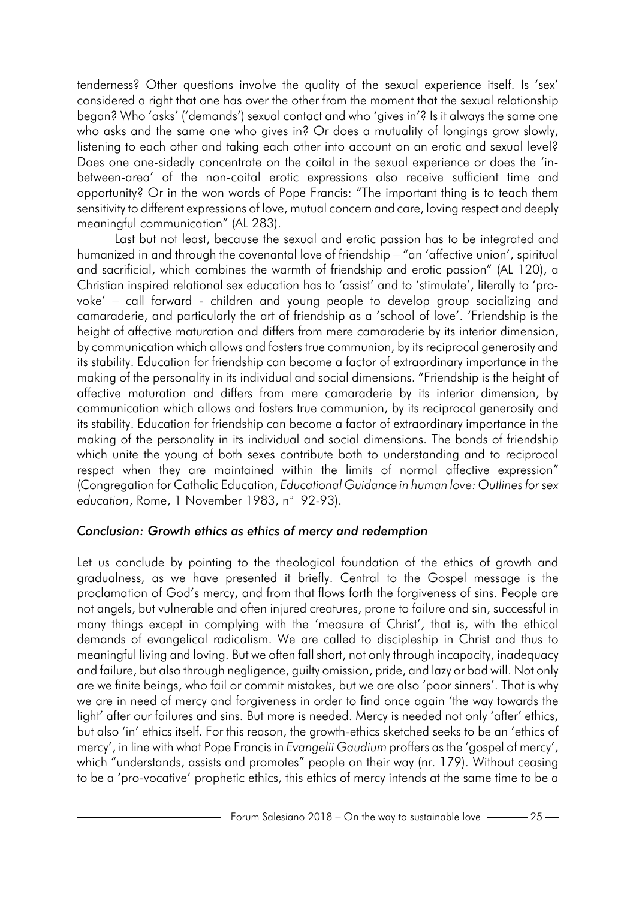tenderness? Other questions involve the quality of the sexual experience itself. Is 'sex' considered a right that one has over the other from the moment that the sexual relationship began? Who 'asks' ('demands') sexual contact and who 'gives in'? Is it always the same one who asks and the same one who gives in? Or does a mutuality of longings grow slowly, listening to each other and taking each other into account on an erotic and sexual level? Does one one-sidedly concentrate on the coital in the sexual experience or does the 'inbetween-area' of the non-coital erotic expressions also receive sufficient time and opportunity? Or in the won words of Pope Francis: "The important thing is to teach them sensitivity to different expressions of love, mutual concern and care, loving respect and deeply meaningful communication" (AL 283).

Last but not least, because the sexual and erotic passion has to be integrated and humanized in and through the covenantal love of friendship – "an 'affective union', spiritual and sacrificial, which combines the warmth of friendship and erotic passion" (AL 120), a Christian inspired relational sex education has to 'assist' and to 'stimulate', literally to 'provoke' – call forward - children and young people to develop group socializing and camaraderie, and particularly the art of friendship as a 'school of love'. 'Friendship is the height of affective maturation and differs from mere camaraderie by its interior dimension, by communication which allows and fosters true communion, by its reciprocal generosity and its stability. Education for friendship can become a factor of extraordinary importance in the making of the personality in its individual and social dimensions. "Friendship is the height of affective maturation and differs from mere camaraderie by its interior dimension, by communication which allows and fosters true communion, by its reciprocal generosity and its stability. Education for friendship can become a factor of extraordinary importance in the making of the personality in its individual and social dimensions. The bonds of friendship which unite the young of both sexes contribute both to understanding and to reciprocal respect when they are maintained within the limits of normal affective expression" (Congregation for Catholic Education, *Educational Guidance in human love: Outlinesfor sex education*, Rome, 1 November 1983, n° 92-93).

### *Conclusion: Growth ethics as ethics of mercy and redemption*

Let us conclude by pointing to the theological foundation of the ethics of growth and gradualness, as we have presented it briefly. Central to the Gospel message is the proclamation of God's mercy, and from that flows forth the forgiveness of sins. People are not angels, but vulnerable and often injured creatures, prone to failure and sin, successful in many things except in complying with the 'measure of Christ', that is, with the ethical demands of evangelical radicalism. We are called to discipleship in Christ and thus to meaningful living and loving. But we often fall short, not only through incapacity, inadequacy and failure, but also through negligence, guilty omission, pride, and lazy or bad will. Not only are we finite beings, who fail or commit mistakes, but we are also 'poor sinners'. That is why we are in need of mercy and forgiveness in order to find once again 'the way towards the light' after our failures and sins. But more is needed. Mercy is needed not only 'after' ethics, but also 'in' ethics itself. For this reason, the growth-ethics sketched seeks to be an 'ethics of mercy', in line with what Pope Francis in *Evangelii Gaudium* proffers as the 'gospel of mercy', which "understands, assists and promotes" people on their way (nr. 179). Without ceasing to be a 'pro-vocative' prophetic ethics, this ethics of mercy intends at the same time to be a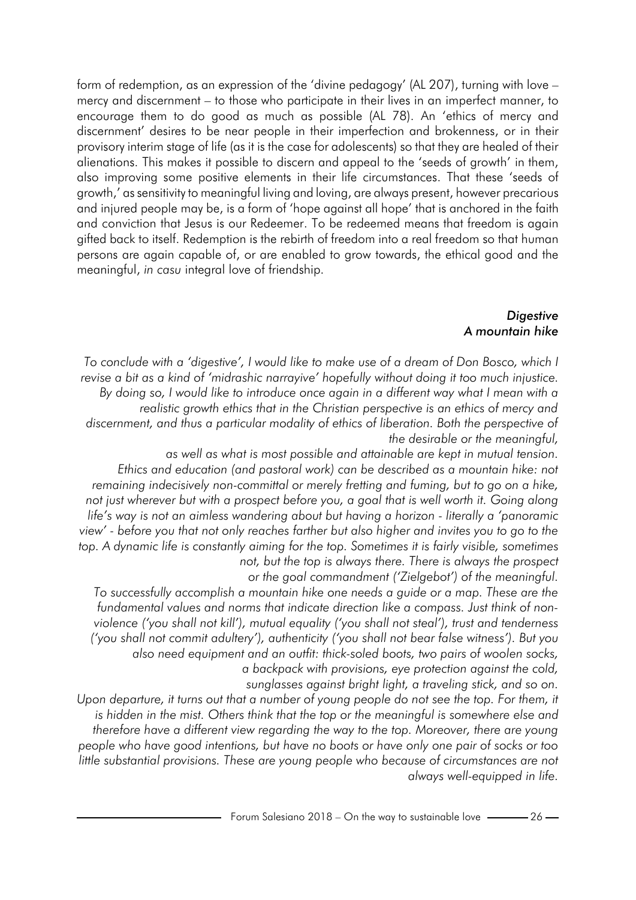form of redemption, as an expression of the 'divine pedagogy' (AL 207), turning with love – mercy and discernment – to those who participate in their lives in an imperfect manner, to encourage them to do good as much as possible (AL 78). An 'ethics of mercy and discernment' desires to be near people in their imperfection and brokenness, or in their provisory interim stage of life (as it is the case for adolescents) so that they are healed of their alienations. This makes it possible to discern and appeal to the 'seeds of growth' in them, also improving some positive elements in their life circumstances. That these 'seeds of growth,' as sensitivity to meaningful living and loving, are always present, however precarious and injured people may be, is a form of 'hope against all hope' that is anchored in the faith and conviction that Jesus is our Redeemer. To be redeemed means that freedom is again gifted back to itself. Redemption is the rebirth of freedom into a real freedom so that human persons are again capable of, or are enabled to grow towards, the ethical good and the meaningful, *in casu* integral love of friendship.

#### *Digestive A mountain hike*

*To conclude with a 'digestive', I would like to make use of a dream of Don Bosco, which I revise a bit as a kind of 'midrashic narrayive' hopefully without doing it too much injustice. By doing so, I would like to introduce once again in a different way what I mean with a realistic growth ethics that in the Christian perspective is an ethics of mercy and discernment, and thus a particular modality of ethics of liberation. Both the perspective of the desirable or the meaningful,*

*as well as what is most possible and attainable are kept in mutual tension. Ethics and education (and pastoral work) can be described as a mountain hike: not remaining indecisively non-committal or merely fretting and fuming, but to go on a hike, not just wherever but with a prospect before you, a goal that is well worth it. Going along life's way is not an aimless wandering about but having a horizon - literally a 'panoramic view' - before you that not only reaches farther but also higher and invites you to go to the top. A dynamic life is constantly aiming for the top. Sometimes it is fairly visible, sometimes not, but the top is always there. There is always the prospect*

 *or the goal commandment ('Zielgebot') of the meaningful.*

*To successfully accomplish a mountain hike one needs a guide or a map. These are the fundamental values and norms that indicate direction like a compass. Just think of nonviolence ('you shall not kill'), mutual equality ('you shall not steal'), trust and tenderness ('you shall not commit adultery'), authenticity ('you shall not bear false witness'). But you also need equipment and an outfit: thick-soled boots, two pairs of woolen socks, a backpack with provisions, eye protection against the cold,*

 *sunglasses against bright light, a traveling stick, and so on.*

*Upon departure, it turns out that a number of young people do not see the top. For them, it is hidden in the mist. Others think that the top or the meaningful is somewhere else and therefore have a different view regarding the way to the top. Moreover, there are young people who have good intentions, but have no boots or have only one pair of socks or too little substantial provisions. These are young people who because of circumstances are not always well-equipped in life.*